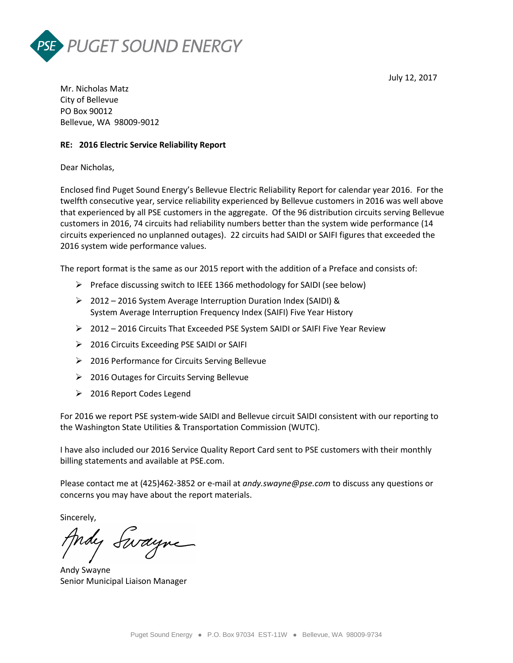



Mr. Nicholas Matz City of Bellevue PO Box 90012 Bellevue, WA 98009-9012

# **RE: 2016 Electric Service Reliability Report**

Dear Nicholas,

Enclosed find Puget Sound Energy's Bellevue Electric Reliability Report for calendar year 2016. For the twelfth consecutive year, service reliability experienced by Bellevue customers in 2016 was well above that experienced by all PSE customers in the aggregate. Of the 96 distribution circuits serving Bellevue customers in 2016, 74 circuits had reliability numbers better than the system wide performance (14 circuits experienced no unplanned outages). 22 circuits had SAIDI or SAIFI figures that exceeded the 2016 system wide performance values.

The report format is the same as our 2015 report with the addition of a Preface and consists of:

- $\triangleright$  Preface discussing switch to IEEE 1366 methodology for SAIDI (see below)
- 2012 2016 System Average Interruption Duration Index (SAIDI) & System Average Interruption Frequency Index (SAIFI) Five Year History
- 2012 2016 Circuits That Exceeded PSE System SAIDI or SAIFI Five Year Review
- 2016 Circuits Exceeding PSE SAIDI or SAIFI
- 2016 Performance for Circuits Serving Bellevue
- 2016 Outages for Circuits Serving Bellevue
- 2016 Report Codes Legend

For 2016 we report PSE system-wide SAIDI and Bellevue circuit SAIDI consistent with our reporting to the Washington State Utilities & Transportation Commission (WUTC).

I have also included our 2016 Service Quality Report Card sent to PSE customers with their monthly billing statements and available at PSE.com.

Please contact me at (425)462-3852 or e-mail at *andy.swayne@pse.com* to discuss any questions or concerns you may have about the report materials.

Sincerely,

Andy Swayne

Andy Swayne Senior Municipal Liaison Manager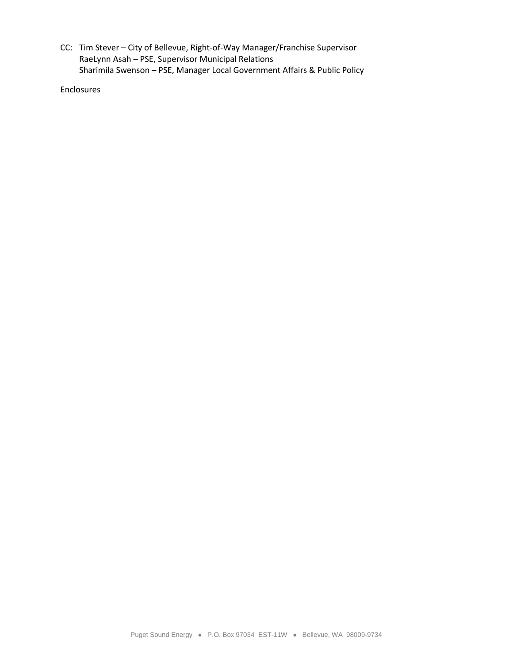CC: Tim Stever – City of Bellevue, Right-of-Way Manager/Franchise Supervisor RaeLynn Asah – PSE, Supervisor Municipal Relations Sharimila Swenson – PSE, Manager Local Government Affairs & Public Policy

Enclosures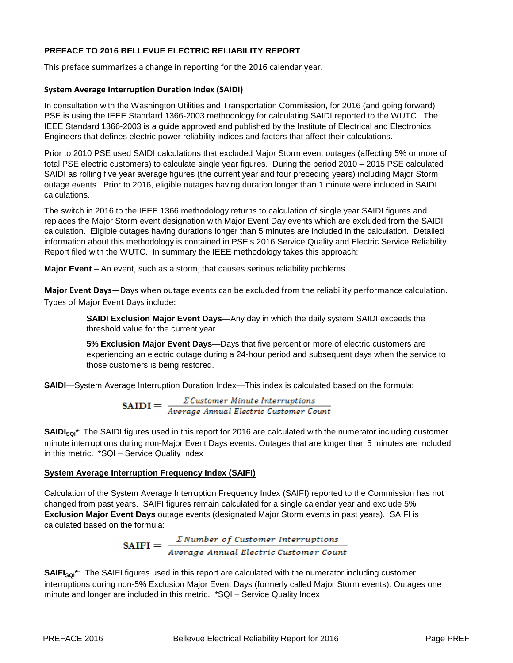# **PREFACE TO 2016 BELLEVUE ELECTRIC RELIABILITY REPORT**

This preface summarizes a change in reporting for the 2016 calendar year.

## **System Average Interruption Duration Index (SAIDI)**

In consultation with the Washington Utilities and Transportation Commission, for 2016 (and going forward) PSE is using the IEEE Standard 1366-2003 methodology for calculating SAIDI reported to the WUTC. The IEEE Standard 1366-2003 is a guide approved and published by the Institute of Electrical and Electronics Engineers that defines electric power reliability indices and factors that affect their calculations.

Prior to 2010 PSE used SAIDI calculations that excluded Major Storm event outages (affecting 5% or more of total PSE electric customers) to calculate single year figures. During the period 2010 – 2015 PSE calculated SAIDI as rolling five year average figures (the current year and four preceding years) including Major Storm outage events. Prior to 2016, eligible outages having duration longer than 1 minute were included in SAIDI calculations.

The switch in 2016 to the IEEE 1366 methodology returns to calculation of single year SAIDI figures and replaces the Major Storm event designation with Major Event Day events which are excluded from the SAIDI calculation. Eligible outages having durations longer than 5 minutes are included in the calculation. Detailed information about this methodology is contained in PSE's 2016 Service Quality and Electric Service Reliability Report filed with the WUTC. In summary the IEEE methodology takes this approach:

**Major Event** – An event, such as a storm, that causes serious reliability problems.

**Major Event Days**—Days when outage events can be excluded from the reliability performance calculation. Types of Major Event Days include:

> **SAIDI Exclusion Major Event Days**—Any day in which the daily system SAIDI exceeds the threshold value for the current year.

**5% Exclusion Major Event Days**—Days that five percent or more of electric customers are experiencing an electric outage during a 24-hour period and subsequent days when the service to those customers is being restored.

**SAIDI**—System Average Interruption Duration Index—This index is calculated based on the formula:

 $\textbf{SAIDI} = \frac{\Sigma \textit{Customer} \textit{Minute} \textit{Interruptions}}{\textit{Average Annual Electric Customer Count}}$ 

**SAIDI<sub>sol</sub>**\*: The SAIDI figures used in this report for 2016 are calculated with the numerator including customer minute interruptions during non-Major Event Days events. Outages that are longer than 5 minutes are included in this metric. \*SQI – Service Quality Index

# **System Average Interruption Frequency Index (SAIFI)**

Calculation of the System Average Interruption Frequency Index (SAIFI) reported to the Commission has not changed from past years. SAIFI figures remain calculated for a single calendar year and exclude 5% **Exclusion Major Event Days** outage events (designated Major Storm events in past years). SAIFI is calculated based on the formula:

SAIFI =  $\frac{\sum Number\ of\ Customer\ Interruptions}{Average\ Annual\ Electric\ Customer\ Count}$ 

SAIFI<sub>sqi</sub>\*: The SAIFI figures used in this report are calculated with the numerator including customer interruptions during non-5% Exclusion Major Event Days (formerly called Major Storm events). Outages one minute and longer are included in this metric. \*SQI – Service Quality Index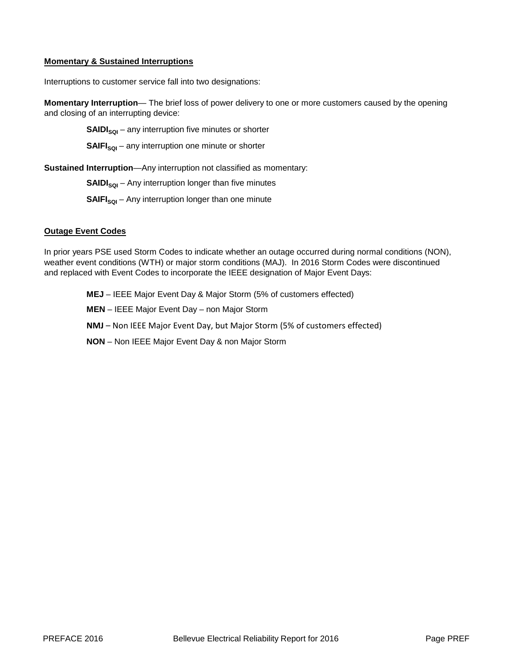## **Momentary & Sustained Interruptions**

Interruptions to customer service fall into two designations:

**Momentary Interruption**— The brief loss of power delivery to one or more customers caused by the opening and closing of an interrupting device:

**SAIDI<sub>sol</sub>** – any interruption five minutes or shorter

**SAIFI<sub>sol</sub>** – any interruption one minute or shorter

**Sustained Interruption**—Any interruption not classified as momentary:

**SAIDI<sub>SQI</sub>** – Any interruption longer than five minutes

**SAIFI<sub>SQI</sub>** – Any interruption longer than one minute

# **Outage Event Codes**

In prior years PSE used Storm Codes to indicate whether an outage occurred during normal conditions (NON), weather event conditions (WTH) or major storm conditions (MAJ). In 2016 Storm Codes were discontinued and replaced with Event Codes to incorporate the IEEE designation of Major Event Days:

**MEJ** – IEEE Major Event Day & Major Storm (5% of customers effected)

**MEN** – IEEE Major Event Day – non Major Storm

**NMJ** – Non IEEE Major Event Day, but Major Storm (5% of customers effected)

**NON** – Non IEEE Major Event Day & non Major Storm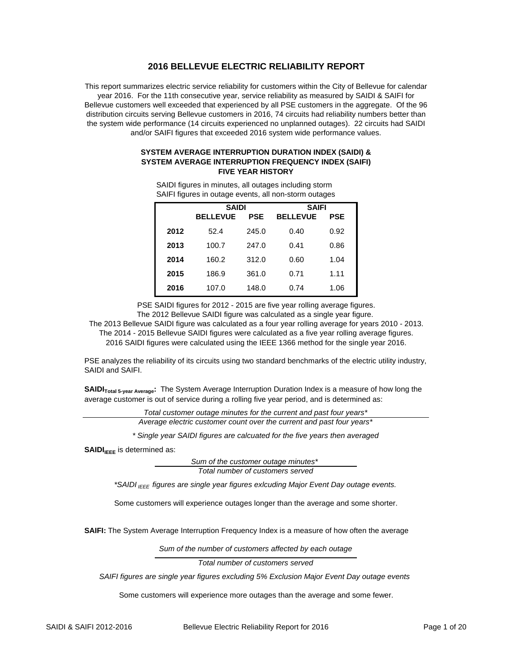## **2016 BELLEVUE ELECTRIC RELIABILITY REPORT**

This report summarizes electric service reliability for customers within the City of Bellevue for calendar year 2016. For the 11th consecutive year, service reliability as measured by SAIDI & SAIFI for Bellevue customers well exceeded that experienced by all PSE customers in the aggregate. Of the 96 distribution circuits serving Bellevue customers in 2016, 74 circuits had reliability numbers better than the system wide performance (14 circuits experienced no unplanned outages). 22 circuits had SAIDI and/or SAIFI figures that exceeded 2016 system wide performance values.

#### **SYSTEM AVERAGE INTERRUPTION DURATION INDEX (SAIDI) & SYSTEM AVERAGE INTERRUPTION FREQUENCY INDEX (SAIFI) FIVE YEAR HISTORY**

| ັ    |                 |            | ີ               |            |  |
|------|-----------------|------------|-----------------|------------|--|
|      | <b>SAIDI</b>    |            | <b>SAIFI</b>    |            |  |
|      | <b>BELLEVUE</b> | <b>PSE</b> | <b>BELLEVUE</b> | <b>PSE</b> |  |
| 2012 | 52.4            | 245.0      | 0.40            | 0.92       |  |
| 2013 | 100.7           | 247.0      | 0.41            | 0.86       |  |
| 2014 | 160.2           | 312.0      | 0.60            | 1.04       |  |
| 2015 | 186.9           | 361.0      | 0.71            | 1.11       |  |
| 2016 | 107.0           | 148.0      | 0.74            | 1.06       |  |

SAIFI figures in outage events, all non-storm outages SAIDI figures in minutes, all outages including storm

PSE SAIDI figures for 2012 - 2015 are five year rolling average figures. The 2012 Bellevue SAIDI figure was calculated as a single year figure.

2016 SAIDI figures were calculated using the IEEE 1366 method for the single year 2016. The 2014 - 2015 Bellevue SAIDI figures were calculated as a five year rolling average figures. The 2013 Bellevue SAIDI figure was calculated as a four year rolling average for years 2010 - 2013.

PSE analyzes the reliability of its circuits using two standard benchmarks of the electric utility industry, SAIDI and SAIFI.

**SAIDI**Total 5-year Average: The System Average Interruption Duration Index is a measure of how long the average customer is out of service during a rolling five year period, and is determined as:

> *Total customer outage minutes for the current and past four years\* Average electric customer count over the current and past four years\**

*\* Single year SAIDI figures are calcuated for the five years then averaged*

**SAIDI**<sub>IEEE</sub> is determined as:

*Sum of the customer outage minutes\* Total number of customers served*

*\*SAIDI IEEE figures are single year figures exlcuding Major Event Day outage events.*

Some customers will experience outages longer than the average and some shorter.

**SAIFI:** The System Average Interruption Frequency Index is a measure of how often the average

*Sum of the number of customers affected by each outage*

*Total number of customers served*

*SAIFI figures are single year figures excluding 5% Exclusion Major Event Day outage events* 

Some customers will experience more outages than the average and some fewer.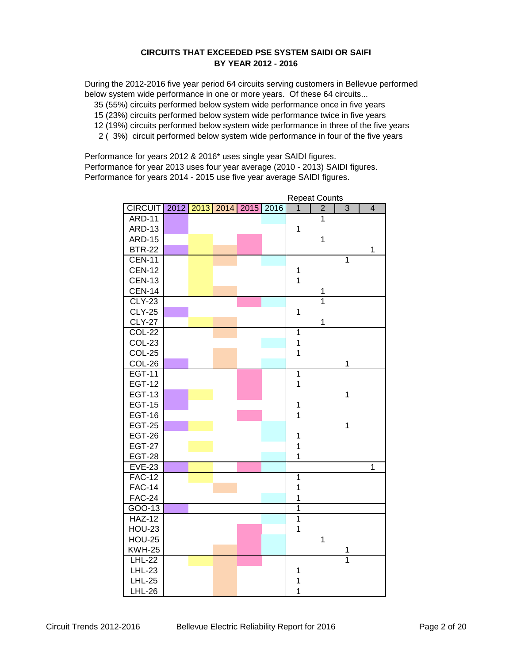## **CIRCUITS THAT EXCEEDED PSE SYSTEM SAIDI OR SAIFI BY YEAR 2012 - 2016**

During the 2012-2016 five year period 64 circuits serving customers in Bellevue performed below system wide performance in one or more years. Of these 64 circuits...

35 (55%) circuits performed below system wide performance once in five years

15 (23%) circuits performed below system wide performance twice in five years

- 12 (19%) circuits performed below system wide performance in three of the five years
- 2 ( 3%) circuit performed below system wide performance in four of the five years

Performance for years 2012 & 2016\* uses single year SAIDI figures. Performance for year 2013 uses four year average (2010 - 2013) SAIDI figures. Performance for years 2014 - 2015 use five year average SAIDI figures.

|                |      |  |                |      |                |                | Repeat Counts  |                         |  |
|----------------|------|--|----------------|------|----------------|----------------|----------------|-------------------------|--|
| <b>CIRCUIT</b> | 2012 |  | 2013 2014 2015 | 2016 | 1              | $\overline{2}$ | 3              | $\overline{\mathbf{4}}$ |  |
| <b>ARD-11</b>  |      |  |                |      |                | 1              |                |                         |  |
| <b>ARD-13</b>  |      |  |                |      | $\mathbf{1}$   |                |                |                         |  |
| <b>ARD-15</b>  |      |  |                |      |                | $\mathbf{1}$   |                |                         |  |
| <b>BTR-22</b>  |      |  |                |      |                |                |                | 1                       |  |
| <b>CEN-11</b>  |      |  |                |      |                |                | $\overline{1}$ |                         |  |
| <b>CEN-12</b>  |      |  |                |      | 1              |                |                |                         |  |
| <b>CEN-13</b>  |      |  |                |      | $\overline{1}$ |                |                |                         |  |
| <b>CEN-14</b>  |      |  |                |      |                | 1              |                |                         |  |
| $CLY-23$       |      |  |                |      |                | $\overline{1}$ |                |                         |  |
| <b>CLY-25</b>  |      |  |                |      | 1              |                |                |                         |  |
| <b>CLY-27</b>  |      |  |                |      |                | $\mathbf{1}$   |                |                         |  |
| <b>COL-22</b>  |      |  |                |      | $\overline{1}$ |                |                |                         |  |
| <b>COL-23</b>  |      |  |                |      | $\mathbf 1$    |                |                |                         |  |
| COL-25         |      |  |                |      | $\mathbf{1}$   |                |                |                         |  |
| COL-26         |      |  |                |      |                |                | 1              |                         |  |
| <b>EGT-11</b>  |      |  |                |      | $\overline{1}$ |                |                |                         |  |
| <b>EGT-12</b>  |      |  |                |      | $\overline{1}$ |                |                |                         |  |
| <b>EGT-13</b>  |      |  |                |      |                |                | $\mathbf{1}$   |                         |  |
| <b>EGT-15</b>  |      |  |                |      | 1              |                |                |                         |  |
| <b>EGT-16</b>  |      |  |                |      | 1              |                |                |                         |  |
| <b>EGT-25</b>  |      |  |                |      |                |                | $\mathbf 1$    |                         |  |
| <b>EGT-26</b>  |      |  |                |      | $\mathbf 1$    |                |                |                         |  |
| <b>EGT-27</b>  |      |  |                |      | 1              |                |                |                         |  |
| <b>EGT-28</b>  |      |  |                |      | 1              |                |                |                         |  |
| <b>EVE-23</b>  |      |  |                |      |                |                |                | 1                       |  |
| $FAC-12$       |      |  |                |      | $\mathbf{1}$   |                |                |                         |  |
| <b>FAC-14</b>  |      |  |                |      | $\overline{1}$ |                |                |                         |  |
| <b>FAC-24</b>  |      |  |                |      | 1              |                |                |                         |  |
| GOO-13         |      |  |                |      | $\overline{1}$ |                |                |                         |  |
| <b>HAZ-12</b>  |      |  |                |      | $\overline{1}$ |                |                |                         |  |
| <b>HOU-23</b>  |      |  |                |      | 1              |                |                |                         |  |
| <b>HOU-25</b>  |      |  |                |      |                | $\mathbf{1}$   |                |                         |  |
| <b>KWH-25</b>  |      |  |                |      |                |                | 1              |                         |  |
| <b>LHL-22</b>  |      |  |                |      |                |                | $\overline{1}$ |                         |  |
| <b>LHL-23</b>  |      |  |                |      | 1              |                |                |                         |  |
| <b>LHL-25</b>  |      |  |                |      | 1              |                |                |                         |  |
| <b>LHL-26</b>  |      |  |                |      | 1              |                |                |                         |  |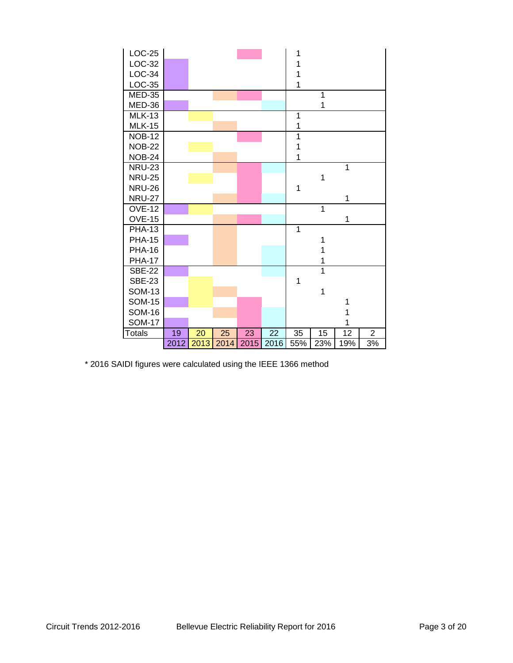| LOC-25        |      |      |      |      |                 | 1              |     |     |                |  |
|---------------|------|------|------|------|-----------------|----------------|-----|-----|----------------|--|
| LOC-32        |      |      |      |      |                 | 1              |     |     |                |  |
| LOC-34        |      |      |      |      |                 | 1              |     |     |                |  |
| LOC-35        |      |      |      |      |                 | 1              |     |     |                |  |
| <b>MED-35</b> |      |      |      |      |                 |                | 1   |     |                |  |
| MED-36        |      |      |      |      |                 |                | 1   |     |                |  |
| <b>MLK-13</b> |      |      |      |      |                 | 1              |     |     |                |  |
| <b>MLK-15</b> |      |      |      |      |                 | 1              |     |     |                |  |
| <b>NOB-12</b> |      |      |      |      |                 | 1              |     |     |                |  |
| <b>NOB-22</b> |      |      |      |      |                 | 1              |     |     |                |  |
| <b>NOB-24</b> |      |      |      |      |                 | 1              |     |     |                |  |
| <b>NRU-23</b> |      |      |      |      |                 |                |     | 1   |                |  |
| <b>NRU-25</b> |      |      |      |      |                 |                | 1   |     |                |  |
| <b>NRU-26</b> |      |      |      |      |                 | 1              |     |     |                |  |
| <b>NRU-27</b> |      |      |      |      |                 |                |     | 1   |                |  |
| <b>OVE-12</b> |      |      |      |      |                 |                | 1   |     |                |  |
| <b>OVE-15</b> |      |      |      |      |                 |                |     | 1   |                |  |
| <b>PHA-13</b> |      |      |      |      |                 | $\overline{1}$ |     |     |                |  |
| <b>PHA-15</b> |      |      |      |      |                 |                | 1   |     |                |  |
| <b>PHA-16</b> |      |      |      |      |                 |                |     |     |                |  |
| <b>PHA-17</b> |      |      |      |      |                 |                |     |     |                |  |
| <b>SBE-22</b> |      |      |      |      |                 |                | 1   |     |                |  |
| <b>SBE-23</b> |      |      |      |      |                 | 1              |     |     |                |  |
| <b>SOM-13</b> |      |      |      |      |                 |                | 1   |     |                |  |
| <b>SOM-15</b> |      |      |      |      |                 |                |     |     |                |  |
| <b>SOM-16</b> |      |      |      |      |                 |                |     |     |                |  |
| <b>SOM-17</b> |      |      |      |      |                 |                |     |     |                |  |
| <b>Totals</b> | 19   | 20   | 25   | 23   | $\overline{22}$ | 35             | 15  | 12  | $\overline{2}$ |  |
|               | 2012 | 2013 | 2014 | 2015 | 2016            | 55%            | 23% | 19% | 3%             |  |

\* 2016 SAIDI figures were calculated using the IEEE 1366 method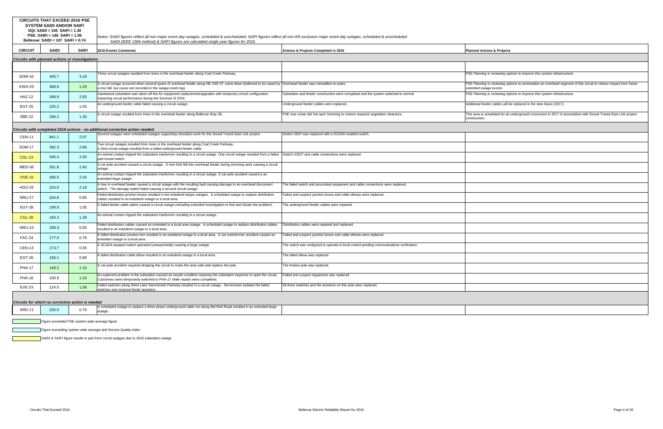|               | <b>CIRCUITS THAT EXCEED 2016 PSE</b><br><b>SYSTEM SAIDI AND/OR SAIFI</b><br>SQI: SAIDI = 155 SAIFI = 1.30<br>PSE: SAIDI = 148 SAIFI = 1.06<br>Bellevue: SAIDI = 107 SAIFI = 0.74<br><b>SAIDI</b><br><b>CIRCUIT</b> |              | Notes: SAIDI figures reflect all non-major event day outages, scheduled & unscheduled; SAIFI figures reflect all non-5% exclusion major event day outages, scheduled & unscheduled<br>SAIDI (IEEE 1366 method) & SAIFI figures are calculated single year figures for 2016. |                                                                                           |                                                                                                  |
|---------------|--------------------------------------------------------------------------------------------------------------------------------------------------------------------------------------------------------------------|--------------|-----------------------------------------------------------------------------------------------------------------------------------------------------------------------------------------------------------------------------------------------------------------------------|-------------------------------------------------------------------------------------------|--------------------------------------------------------------------------------------------------|
|               |                                                                                                                                                                                                                    | <b>SAIFI</b> | 2016 Events Comments                                                                                                                                                                                                                                                        | Actions & Projects Completed in 2016                                                      | <b>Planned Actions &amp; Projects</b>                                                            |
|               | Circuits with planned actions or investigations                                                                                                                                                                    |              |                                                                                                                                                                                                                                                                             |                                                                                           |                                                                                                  |
|               |                                                                                                                                                                                                                    |              |                                                                                                                                                                                                                                                                             |                                                                                           |                                                                                                  |
| <b>SOM-16</b> | 405.7                                                                                                                                                                                                              | 3.18         | Three circuit outages resulted from trees in the overhead feeder along Coal Creek Parkway.                                                                                                                                                                                  |                                                                                           | PSE Planning is reviewing options to improve this system infrastructure.                         |
| <b>KWH-25</b> | 368.6                                                                                                                                                                                                              | 1.29         | A circuit outage occurred when several spans of overhead feeder along NE 24th ST came down (believed to be cased by Overhead feeder was reinstalled on poles.<br>a tree fall, but cause not recorded in the outage event log)                                               |                                                                                           | PSE Planning is reviewing options to sectionalize an overhead segment<br>extended outage events. |
| <b>HAZ-12</b> | 268.8                                                                                                                                                                                                              | 2.55         | Hazelwood substation was taken off line for equipment replacement/upgrades with temporary circuit configuration<br>impacting circuit performance during the Summer of 2016.                                                                                                 | Substation and feeder construction were completed and the system switched to normal.      | PSE Planning is reviewing options to improve this system infrastructure.                         |
| <b>EGT-25</b> | 225.2                                                                                                                                                                                                              | 1.05         | An underground feeder cable failed causing a circuit outage.                                                                                                                                                                                                                | Underground feeder cables were replaced.                                                  | Additional feeder cables will be replaced in the near future (2017).                             |
| <b>SBE-22</b> | 186.2                                                                                                                                                                                                              | 1.35         | A circuit outage resulted from trees in the overhead feeder along Bellevue Way SE.                                                                                                                                                                                          | PSE tree crews did 'hot spot' trimming to restore required vegetation clearance.          | This area is scheduled for an underground conversion in 2017 in associ<br>construction.          |
|               |                                                                                                                                                                                                                    |              | Circuits with completed 2016 actions - no additional corrective action needed                                                                                                                                                                                               |                                                                                           |                                                                                                  |
| <b>CEN-11</b> | 841.1                                                                                                                                                                                                              | 2.07         | Several outages were scheduled outages supporting relocation work for the Sound Transit East Link project.                                                                                                                                                                  | Switch U837 was replaced with a SCADA enabled switch.                                     |                                                                                                  |
| <b>SOM-17</b> | 392.3                                                                                                                                                                                                              | 2.66         | Two circuit outages resulted from trees in the overhead feeder along Coal Creek Parkway.<br>A third circuit outage resulted from a failed underground feeder cable.                                                                                                         |                                                                                           |                                                                                                  |
| <b>COL-23</b> | 345.4                                                                                                                                                                                                              | 2.00         | An animal contact tripped the substation tranformer resulting in a circuit outage. One circuit outage resulted from a failed Switch U2527 and cable connections were replaced.<br>pad-mount switch.                                                                         |                                                                                           |                                                                                                  |
| MED-36        | 281.8                                                                                                                                                                                                              | 2.40         | A car-pole accident caused a circuit outage. A tree limb fell into overhead feeder during trimming work causing a circuit<br>outage.                                                                                                                                        |                                                                                           |                                                                                                  |
| <b>OVE-15</b> | 266.5                                                                                                                                                                                                              | 2.34         | An animal contact tripped the substation tranformer resulting in a circuit outage. A car-pole accident caused a an<br>extended large outage.                                                                                                                                |                                                                                           |                                                                                                  |
| <b>HOU-25</b> | 224.0                                                                                                                                                                                                              | 2.18         | A tree in overhead feeder caused a circuit outage with the resulting fault causing damage to an overhead disconnect<br>switch. The damage switch failed causing a second circuit outage.                                                                                    | The failed switch and associated equipment and cable connections were replaced.           |                                                                                                  |
| <b>NRU-27</b> | 204.8                                                                                                                                                                                                              | 0.85         | Failed distribution junction boxes resulted in two extedend larges outages. A scheduled outage to replace distribution<br>cables resulted in an extedend outage to a local area                                                                                             | Failed and suspect junction boxes and cable elbows were replaced.                         |                                                                                                  |
| <b>EGT-28</b> | 199.0                                                                                                                                                                                                              | 1.05         | A failed feeder cable splice caused a circuit outage (including extended investigation to find and isloate the problem).                                                                                                                                                    | The underground feeder cables were repaired.                                              |                                                                                                  |
| COL-26        | 193.3                                                                                                                                                                                                              | 1.39         | An animal contact tripped the substation tranformer resulting in a circuit outage.                                                                                                                                                                                          |                                                                                           |                                                                                                  |
| <b>NRU-23</b> | 189.3                                                                                                                                                                                                              | 0.59         | Failed distribution cables casued an extended to a local area outage. A scheduled outage to replace distribution cables<br>resulted in an extedend outage to a local area.                                                                                                  | Distribution cables were repaired and replaced.                                           |                                                                                                  |
| <b>FAC-24</b> | 177.5                                                                                                                                                                                                              | 0.78         | A failed distribution junction box resulted in an extedend outage to a local area. A car-transformer accident caused an<br>extended outage to a local area.                                                                                                                 | Failed and suspect junction boxes and cable elbows were replaced.                         |                                                                                                  |
| <b>CEN-13</b> | 173.7                                                                                                                                                                                                              | 0.35         | A SCADA equiped switch operated (unexpectedly) causing a large outage.                                                                                                                                                                                                      | The switch was confgured to operate in local control pending communications verification. |                                                                                                  |
| <b>EGT-26</b> | 156.1                                                                                                                                                                                                              | 0.89         | A failed distribution cable elbow resulted in an extedend outage to a local area.                                                                                                                                                                                           | The failed elbow was replaced.                                                            |                                                                                                  |
| <b>PHA-17</b> | 148.2                                                                                                                                                                                                              | 1.16         | A car-pole accident required dropping the circuit to make the area safe and replace the pole.                                                                                                                                                                               | The broken pole was replaced.                                                             |                                                                                                  |
| <b>PHA-16</b> | 100.9                                                                                                                                                                                                              | 1.15         | An euipment problem in the substation caused an unsafe condition requiring the substation inspector to open the circuit.<br>Customers were temporarily switched to PHA-17 while repairs were completed.                                                                     | Failed and suspect equipment was replaced.                                                |                                                                                                  |
| EVE-23        | 124.5                                                                                                                                                                                                              | 1.09         | Failed switches along West Lake Sammimish Parkway resulted in a circuit outage. Servicemen isolated the failed<br>switches and restored feede operation.                                                                                                                    | All three switches and the arrestors on this pole were replaced.                          |                                                                                                  |
|               | Circuits for which no corrective action is needed                                                                                                                                                                  |              |                                                                                                                                                                                                                                                                             |                                                                                           |                                                                                                  |
| ARD-11        | 230.0                                                                                                                                                                                                              | 0.79         | A scheduled outage to replace a three phase underground cable run along Bel-Red Road resulted in an extended large<br>outage.                                                                                                                                               |                                                                                           |                                                                                                  |
|               |                                                                                                                                                                                                                    |              |                                                                                                                                                                                                                                                                             |                                                                                           |                                                                                                  |

Figure exceeded PSE system wide average figure

Figure exceeding system wide average and Service Quality Index

SAIDI & SAIFI figure results in part from circuit outages due to 2016 substation outage

g is reviewing options to sectionalize an overhead segment of this circuit to reduce impact from future age events.

scheduled for an underground conversion in 2017 in associtation with Sound Transit East Link project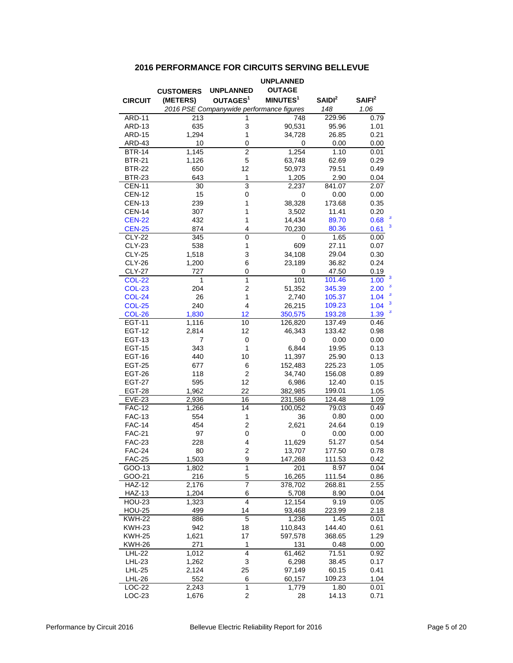## **2016 PERFORMANCE FOR CIRCUITS SERVING BELLEVUE**

|                         |                  |                                          | <b>UNPLANNED</b>     |                |                    |
|-------------------------|------------------|------------------------------------------|----------------------|----------------|--------------------|
|                         | <b>CUSTOMERS</b> | UNPLANNED                                | <b>OUTAGE</b>        |                |                    |
| <b>CIRCUIT</b>          | (METERS)         | OUTAGES <sup>1</sup>                     | MINUTES <sup>1</sup> | $S$ AIDI $2$   | SAIFI <sup>2</sup> |
|                         |                  | 2016 PSE Companywide performance figures |                      | 148            | 1.06               |
| ARD-11                  | 213              |                                          | 748                  | 229.96         | 0.79               |
| ARD-13                  | 635              | 3                                        | 90,531               | 95.96          | 1.01               |
| <b>ARD-15</b>           | 1,294            | 1                                        | 34,728               | 26.85          | 0.21               |
| ARD-43                  | 10               | 0                                        | 0                    | 0.00           | 0.00               |
| <b>BTR-14</b>           | 1,145            | $\overline{2}$                           | 1,254                | 1.10           | 0.01               |
| <b>BTR-21</b>           | 1,126            | 5                                        | 63,748               | 62.69          | 0.29               |
| <b>BTR-22</b>           | 650              | 12                                       | 50,973               | 79.51          | 0.49               |
| <b>BTR-23</b>           | 643              | 1                                        | 1,205                | 2.90           | 0.04               |
| <b>CEN-11</b>           | 30               | 3                                        | 2,237                | 841.07         | 2.07               |
| <b>CEN-12</b>           | 15               | 0                                        | 0                    | 0.00           | 0.00               |
| <b>CEN-13</b>           | 239              | 1                                        | 38,328               | 173.68         | 0.35               |
| <b>CEN-14</b>           | 307              | 1                                        | 3,502                | 11.41          | 0.20               |
| <b>CEN-22</b>           | 432              | 1                                        | 14,434               | 89.70          | 3<br>0.68          |
| <b>CEN-25</b>           | 874              | 4                                        | 70,230               | 80.36          | 3<br>0.61          |
| <b>CLY-22</b>           | 345              | $\overline{0}$                           | 0                    | 1.65           | 0.00               |
| <b>CLY-23</b>           | 538              | 1                                        | 609                  | 27.11          | 0.07               |
| <b>CLY-25</b>           | 1,518            | 3                                        | 34,108               | 29.04          | 0.30               |
| <b>CLY-26</b>           | 1,200            | 6                                        | 23,189               | 36.82          | 0.24               |
| <b>CLY-27</b>           | 727              | 0                                        | 0                    | 47.50          | 0.19               |
| COL-22                  | 1                | 1                                        | 101                  | 101.46         | 3<br>1.00          |
| <b>COL-23</b>           | 204              | $\overline{c}$                           | 51,352               | 345.39         | 3<br>2.00          |
| <b>COL-24</b>           | 26               | 1                                        | 2,740                | 105.37         | 3<br>1.04          |
| <b>COL-25</b>           | 240              | 4                                        | 26,215               | 109.23         | 3<br>1.04          |
| <b>COL-26</b>           | 1,830            | 12                                       | 350,575              | 193.28         | 3<br>1.39          |
| EGT-11                  | 1,116            | 10                                       | 126,820              | 137.49         | 0.46               |
| <b>EGT-12</b>           | 2,814            | 12                                       | 46,343               | 133.42         | 0.98               |
| <b>EGT-13</b>           | 7                | 0                                        | 0                    | 0.00           | 0.00               |
| <b>EGT-15</b>           | 343              | 1                                        | 6,844                | 19.95          | 0.13               |
| <b>EGT-16</b>           | 440              | 10                                       | 11,397               | 25.90          | 0.13               |
| <b>EGT-25</b>           | 677              | 6                                        | 152,483              | 225.23         | 1.05               |
| <b>EGT-26</b>           | 118              | $\overline{c}$                           | 34,740               | 156.08         | 0.89               |
| <b>EGT-27</b>           | 595              | 12                                       | 6,986                | 12.40          | 0.15               |
| <b>EGT-28</b>           | 1,962            | 22                                       | 382,985              | 199.01         | 1.05               |
| <b>EVE-23</b>           | 2,936            | 16                                       | 231,586              | 124.48         | 1.09               |
| <b>FAC-12</b>           | 1,266            | 14                                       | 100,052              | 79.03          | 0.49               |
| <b>FAC-13</b>           | 554              | 1                                        | 36                   | 0.80           | 0.00               |
| <b>FAC-14</b>           | 454              | $\overline{2}$                           | 2,621                | 24.64          | 0.19               |
| <b>FAC-21</b>           | 97               | 0                                        | 0                    | 0.00           | 0.00               |
| <b>FAC-23</b>           | 228              | 4                                        | 11,629               | 51.27          | 0.54               |
| <b>FAC-24</b>           | 80               | $\overline{c}$                           | 13,707               | 177.50         | 0.78               |
| <b>FAC-25</b>           | 1,503            | 9                                        | 147,268              | 111.53         | 0.42               |
| GOO-13                  | 1,802            | $\overline{1}$                           | 201                  | 8.97           | 0.04               |
| GOO-21                  | 216              | 5                                        | 16,265               | 111.54         | 0.86               |
| <b>HAZ-12</b>           | 2,176            | 7                                        | 378,702              | 268.81         | 2.55               |
| <b>HAZ-13</b>           | 1,204            | 6                                        | 5,708                | 8.90           | 0.04               |
| <b>HOU-23</b>           | 1,323            | $\overline{4}$                           | 12,154               | 9.19           | 0.05               |
| <b>HOU-25</b>           | 499              | 14                                       | 93,468               | 223.99         | 2.18               |
| <b>KWH-22</b>           | 886              | $\overline{5}$                           | 1,236                | 1.45           | 0.01               |
| <b>KWH-23</b>           | 942              | 18                                       | 110,843              | 144.40         | 0.61               |
| <b>KWH-25</b>           | 1,621            | 17                                       | 597,578              | 368.65         | 1.29               |
| <b>KWH-26</b>           | 271              | 1                                        | 131                  | 0.48           | 0.00               |
| LHL-22                  | 1,012            | 4                                        | 61,462               | 71.51          | 0.92               |
| LHL-23                  | 1,262            | 3                                        | 6,298                | 38.45          | 0.17               |
| <b>LHL-25</b>           | 2,124            | 25                                       | 97,149               | 60.15          | 0.41               |
| LHL-26<br><b>LOC-22</b> | 552<br>2,243     | 6<br>1                                   | 60,157<br>1,779      | 109.23<br>1.80 | 1.04<br>0.01       |
| $LOC-23$                | 1,676            | 2                                        | 28                   | 14.13          | 0.71               |
|                         |                  |                                          |                      |                |                    |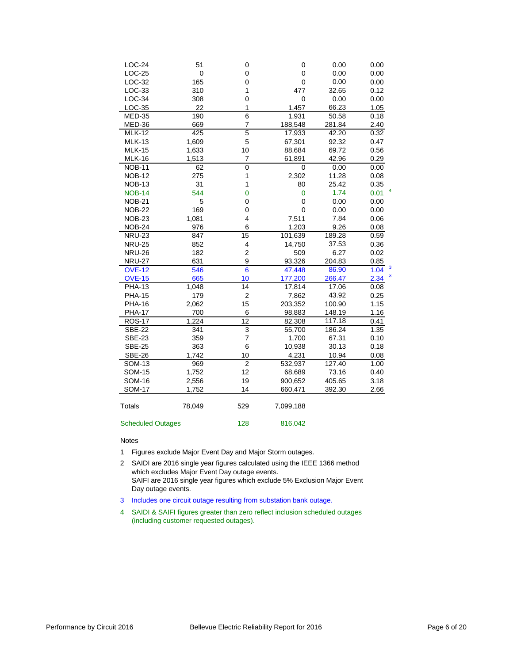| $LOC-24$      | 51        | 0                       | 0              | 0.00   | 0.00      |
|---------------|-----------|-------------------------|----------------|--------|-----------|
| LOC-25        | $\pmb{0}$ | 0                       | 0              | 0.00   | 0.00      |
| $LOC-32$      | 165       | 0                       | 0              | 0.00   | 0.00      |
| LOC-33        | 310       | 1                       | 477            | 32.65  | 0.12      |
| LOC-34        | 308       | 0                       | $\mathbf 0$    | 0.00   | 0.00      |
| LOC-35        | 22        | 1                       | 1,457          | 66.23  | 1.05      |
| <b>MED-35</b> | 190       | 6                       | 1,931          | 50.58  | 0.18      |
| MED-36        | 669       | 7                       | 188,548        | 281.84 | 2.40      |
| <b>MLK-12</b> | 425       | 5                       | 17,933         | 42.20  | 0.32      |
| <b>MLK-13</b> | 1,609     | 5                       | 67,301         | 92.32  | 0.47      |
| <b>MLK-15</b> | 1,633     | 10                      | 88,684         | 69.72  | 0.56      |
| <b>MLK-16</b> | 1,513     | 7                       | 61,891         | 42.96  | 0.29      |
| <b>NOB-11</b> | 62        | $\mathbf 0$             | 0              | 0.00   | 0.00      |
| <b>NOB-12</b> | 275       | 1                       | 2,302          | 11.28  | 0.08      |
| <b>NOB-13</b> | 31        | 1                       | 80             | 25.42  | 0.35      |
| <b>NOB-14</b> | 544       | $\mathbf 0$             | $\overline{0}$ | 1.74   | 0.01      |
| <b>NOB-21</b> | 5         | 0                       | 0              | 0.00   | 0.00      |
| <b>NOB-22</b> | 169       | 0                       | $\mathbf 0$    | 0.00   | 0.00      |
| <b>NOB-23</b> | 1,081     | 4                       | 7,511          | 7.84   | 0.06      |
| <b>NOB-24</b> | 976       | 6                       | 1,203          | 9.26   | 0.08      |
| <b>NRU-23</b> | 847       | 15                      | 101,639        | 189.28 | 0.59      |
| <b>NRU-25</b> | 852       | 4                       | 14,750         | 37.53  | 0.36      |
| <b>NRU-26</b> | 182       | $\overline{\mathbf{c}}$ | 509            | 6.27   | 0.02      |
| <b>NRU-27</b> | 631       | 9                       | 93,326         | 204.83 | 0.85      |
| <b>OVE-12</b> | 546       | $6\phantom{1}6$         | 47,448         | 86.90  | 3<br>1.04 |
| <b>OVE-15</b> | 665       | 10                      | 177,200        | 266.47 | 3<br>2.34 |
| <b>PHA-13</b> | 1,048     | 14                      | 17,814         | 17.06  | 0.08      |
| <b>PHA-15</b> | 179       | 2                       | 7,862          | 43.92  | 0.25      |
| <b>PHA-16</b> | 2,062     | 15                      | 203,352        | 100.90 | 1.15      |
| <b>PHA-17</b> | 700       | 6                       | 98,883         | 148.19 | 1.16      |
| <b>ROS-17</b> | 1,224     | 12                      | 82,308         | 117.18 | 0.41      |
| <b>SBE-22</b> | 341       | 3                       | 55,700         | 186.24 | 1.35      |
| <b>SBE-23</b> | 359       | $\overline{7}$          | 1,700          | 67.31  | 0.10      |
| <b>SBE-25</b> | 363       | 6                       | 10,938         | 30.13  | 0.18      |
| <b>SBE-26</b> | 1,742     | 10                      | 4,231          | 10.94  | 0.08      |
| <b>SOM-13</b> | 969       | $\overline{2}$          | 532,937        | 127.40 | 1.00      |
| <b>SOM-15</b> | 1,752     | 12                      | 68,689         | 73.16  | 0.40      |
| <b>SOM-16</b> | 2,556     | 19                      | 900,652        | 405.65 | 3.18      |
| <b>SOM-17</b> | 1,752     | 14                      | 660,471        | 392.30 | 2.66      |
|               |           |                         |                |        |           |
| <b>Totals</b> | 78,049    | 529                     | 7,099,188      |        |           |

#### Scheduled Outages 128 816,042

#### Notes

- 1 Figures exclude Major Event Day and Major Storm outages.
- 2 SAIDI are 2016 single year figures calculated using the IEEE 1366 method which excludes Major Event Day outage events. SAIFI are 2016 single year figures which exclude 5% Exclusion Major Event Day outage events.
- 3 Includes one circuit outage resulting from substation bank outage.
- 4 SAIDI & SAIFI figures greater than zero reflect inclusion scheduled outages (including customer requested outages).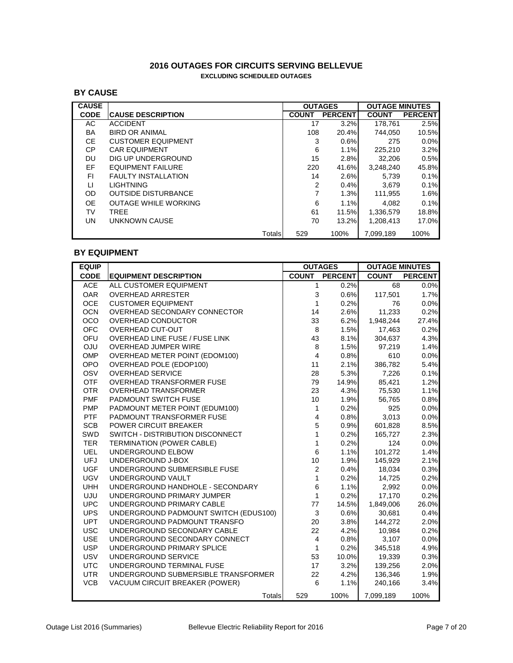# **2016 OUTAGES FOR CIRCUITS SERVING BELLEVUE EXCLUDING SCHEDULED OUTAGES**

# **BY CAUSE**

| <b>CAUSE</b> |                             |        | <b>OUTAGES</b> |                | <b>OUTAGE MINUTES</b> |                |
|--------------|-----------------------------|--------|----------------|----------------|-----------------------|----------------|
| <b>CODE</b>  | <b>CAUSE DESCRIPTION</b>    |        | <b>COUNT</b>   | <b>PERCENT</b> | <b>COUNT</b>          | <b>PERCENT</b> |
| AC           | <b>ACCIDENT</b>             |        | 17             | 3.2%           | 178.761               | 2.5%           |
| BA           | <b>BIRD OR ANIMAL</b>       |        | 108            | 20.4%          | 744.050               | 10.5%          |
| CE.          | <b>CUSTOMER EQUIPMENT</b>   |        | 3              | 0.6%           | 275                   | $0.0\%$        |
| CP.          | <b>CAR EQUIPMENT</b>        |        | 6              | 1.1%           | 225,210               | 3.2%           |
| DU           | DIG UP UNDERGROUND          |        | 15             | 2.8%           | 32.206                | 0.5%           |
| EF           | EQUIPMENT FAILURE           |        | 220            | 41.6%          | 3.248.240             | 45.8%          |
| FI.          | <b>FAULTY INSTALLATION</b>  |        | 14             | 2.6%           | 5.739                 | 0.1%           |
| LI           | <b>LIGHTNING</b>            |        | 2              | 0.4%           | 3.679                 | 0.1%           |
| OD           | <b>OUTSIDE DISTURBANCE</b>  |        | 7              | 1.3%           | 111,955               | 1.6%           |
| OE.          | <b>OUTAGE WHILE WORKING</b> |        | 6              | 1.1%           | 4.082                 | 0.1%           |
| TV           | TREE                        |        | 61             | 11.5%          | 1,336,579             | 18.8%          |
| <b>UN</b>    | UNKNOWN CAUSE               |        | 70             | 13.2%          | 1.208.413             | 17.0%          |
|              |                             | Totals | 529            | 100%           | 7.099.189             | 100%           |

# **BY EQUIPMENT**

| <b>EQUIP</b> |                                       |                         | <b>OUTAGES</b> | <b>OUTAGE MINUTES</b> |                |
|--------------|---------------------------------------|-------------------------|----------------|-----------------------|----------------|
| <b>CODE</b>  | <b>EQUIPMENT DESCRIPTION</b>          | <b>COUNT</b>            | <b>PERCENT</b> | <b>COUNT</b>          | <b>PERCENT</b> |
| <b>ACE</b>   | ALL CUSTOMER EQUIPMENT                | 1                       | 0.2%           | 68                    | 0.0%           |
| <b>OAR</b>   | <b>OVERHEAD ARRESTER</b>              | 3                       | 0.6%           | 117,501               | 1.7%           |
| <b>OCE</b>   | <b>CUSTOMER EQUIPMENT</b>             | 1                       | 0.2%           | 76                    | 0.0%           |
| <b>OCN</b>   | OVERHEAD SECONDARY CONNECTOR          | 14                      | 2.6%           | 11,233                | 0.2%           |
| <b>OCO</b>   | OVERHEAD CONDUCTOR                    | 33                      | 6.2%           | 1,948,244             | 27.4%          |
| <b>OFC</b>   | <b>OVERHEAD CUT-OUT</b>               | 8                       | 1.5%           | 17,463                | 0.2%           |
| OFU          | OVERHEAD LINE FUSE / FUSE LINK        | 43                      | 8.1%           | 304,637               | 4.3%           |
| <b>OJU</b>   | OVERHEAD JUMPER WIRE                  | 8                       | 1.5%           | 97,219                | 1.4%           |
| OMP          | OVERHEAD METER POINT (EDOM100)        | $\overline{\mathbf{4}}$ | 0.8%           | 610                   | 0.0%           |
| OPO          | OVERHEAD POLE (EDOP100)               | 11                      | 2.1%           | 386,782               | 5.4%           |
| OSV          | <b>OVERHEAD SERVICE</b>               | 28                      | 5.3%           | 7,226                 | 0.1%           |
| <b>OTF</b>   | OVERHEAD TRANSFORMER FUSE             | 79                      | 14.9%          | 85,421                | 1.2%           |
| <b>OTR</b>   | <b>OVERHEAD TRANSFORMER</b>           | 23                      | 4.3%           | 75,530                | 1.1%           |
| <b>PMF</b>   | PADMOUNT SWITCH FUSE                  | 10                      | 1.9%           | 56,765                | 0.8%           |
| <b>PMP</b>   | PADMOUNT METER POINT (EDUM100)        | $\mathbf{1}$            | 0.2%           | 925                   | 0.0%           |
| <b>PTF</b>   | PADMOUNT TRANSFORMER FUSE             | 4                       | 0.8%           | 3,013                 | 0.0%           |
| <b>SCB</b>   | <b>POWER CIRCUIT BREAKER</b>          | 5                       | 0.9%           | 601,828               | 8.5%           |
| SWD          | SWITCH - DISTRIBUTION DISCONNECT      | $\mathbf{1}$            | 0.2%           | 165,727               | 2.3%           |
| <b>TER</b>   | <b>TERMINATION (POWER CABLE)</b>      | 1                       | 0.2%           | 124                   | 0.0%           |
| <b>UEL</b>   | UNDERGROUND ELBOW                     | 6                       | 1.1%           | 101,272               | 1.4%           |
| <b>UFJ</b>   | UNDERGROUND J-BOX                     | 10                      | 1.9%           | 145,929               | 2.1%           |
| <b>UGF</b>   | UNDERGROUND SUBMERSIBLE FUSE          | $\overline{2}$          | 0.4%           | 18,034                | 0.3%           |
| <b>UGV</b>   | UNDERGROUND VAULT                     | $\mathbf{1}$            | 0.2%           | 14,725                | 0.2%           |
| <b>UHH</b>   | UNDERGROUND HANDHOLE - SECONDARY      | $\,6$                   | 1.1%           | 2,992                 | 0.0%           |
| UJU          | UNDERGROUND PRIMARY JUMPER            | $\mathbf{1}$            | 0.2%           | 17,170                | 0.2%           |
| <b>UPC</b>   | UNDERGROUND PRIMARY CABLE             | 77                      | 14.5%          | 1,849,006             | 26.0%          |
| <b>UPS</b>   | UNDERGROUND PADMOUNT SWITCH (EDUS100) | 3                       | 0.6%           | 30,681                | 0.4%           |
| <b>UPT</b>   | UNDERGROUND PADMOUNT TRANSFO          | 20                      | 3.8%           | 144,272               | 2.0%           |
| <b>USC</b>   | UNDERGROUND SECONDARY CABLE           | 22                      | 4.2%           | 10,984                | 0.2%           |
| <b>USE</b>   | UNDERGROUND SECONDARY CONNECT         | $\overline{\mathbf{4}}$ | 0.8%           | 3,107                 | 0.0%           |
| <b>USP</b>   | UNDERGROUND PRIMARY SPLICE            | $\mathbf{1}$            | 0.2%           | 345,518               | 4.9%           |
| <b>USV</b>   | UNDERGROUND SERVICE                   | 53                      | 10.0%          | 19,339                | 0.3%           |
| <b>UTC</b>   | UNDERGROUND TERMINAL FUSE             | 17                      | 3.2%           | 139,256               | 2.0%           |
| <b>UTR</b>   | UNDERGROUND SUBMERSIBLE TRANSFORMER   | 22                      | 4.2%           | 136,346               | 1.9%           |
| <b>VCB</b>   | VACUUM CIRCUIT BREAKER (POWER)        | 6                       | 1.1%           | 240,166               | 3.4%           |
|              | <b>Totals</b>                         | 529                     | 100%           | 7,099,189             | 100%           |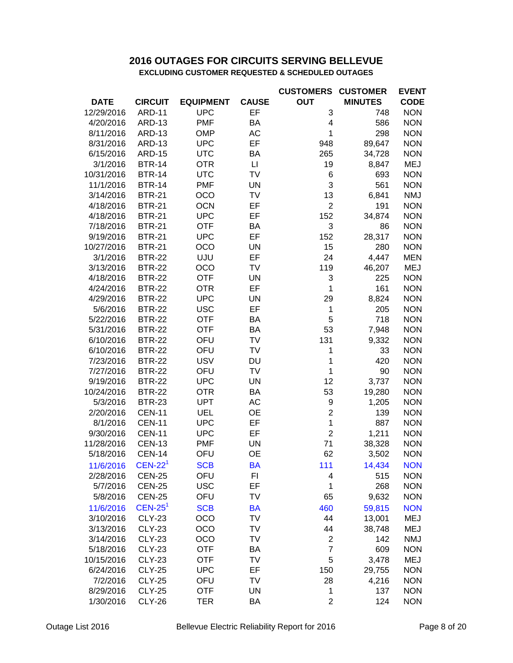# **EXCLUDING CUSTOMER REQUESTED & SCHEDULED OUTAGES 2016 OUTAGES FOR CIRCUITS SERVING BELLEVUE**

|             |                       |                  |              | <b>CUSTOMERS</b> | <b>CUSTOMER</b> | <b>EVENT</b> |
|-------------|-----------------------|------------------|--------------|------------------|-----------------|--------------|
| <b>DATE</b> | <b>CIRCUIT</b>        | <b>EQUIPMENT</b> | <b>CAUSE</b> | <b>OUT</b>       | <b>MINUTES</b>  | <b>CODE</b>  |
| 12/29/2016  | <b>ARD-11</b>         | <b>UPC</b>       | EF           | 3                | 748             | <b>NON</b>   |
| 4/20/2016   | <b>ARD-13</b>         | <b>PMF</b>       | ΒA           | 4                | 586             | <b>NON</b>   |
| 8/11/2016   | <b>ARD-13</b>         | <b>OMP</b>       | AC           | 1                | 298             | <b>NON</b>   |
| 8/31/2016   | <b>ARD-13</b>         | <b>UPC</b>       | EF           | 948              | 89,647          | <b>NON</b>   |
| 6/15/2016   | <b>ARD-15</b>         | <b>UTC</b>       | BA           | 265              | 34,728          | <b>NON</b>   |
| 3/1/2016    | <b>BTR-14</b>         | <b>OTR</b>       | $\Box$       | 19               | 8,847           | <b>MEJ</b>   |
| 10/31/2016  | <b>BTR-14</b>         | <b>UTC</b>       | TV           | 6                | 693             | <b>NON</b>   |
| 11/1/2016   | <b>BTR-14</b>         | <b>PMF</b>       | <b>UN</b>    | 3                | 561             | <b>NON</b>   |
| 3/14/2016   | <b>BTR-21</b>         | <b>OCO</b>       | TV           | 13               | 6,841           | <b>NMJ</b>   |
| 4/18/2016   | <b>BTR-21</b>         | <b>OCN</b>       | EF           | $\overline{2}$   | 191             | <b>NON</b>   |
| 4/18/2016   | <b>BTR-21</b>         | <b>UPC</b>       | EF           | 152              | 34,874          | <b>NON</b>   |
| 7/18/2016   | <b>BTR-21</b>         | <b>OTF</b>       | BA           | 3                | 86              | <b>NON</b>   |
| 9/19/2016   | <b>BTR-21</b>         | <b>UPC</b>       | EF           | 152              | 28,317          | <b>NON</b>   |
| 10/27/2016  | <b>BTR-21</b>         | <b>OCO</b>       | <b>UN</b>    | 15               | 280             | <b>NON</b>   |
| 3/1/2016    | <b>BTR-22</b>         | <b>UJU</b>       | EF           | 24               | 4,447           | <b>MEN</b>   |
| 3/13/2016   | <b>BTR-22</b>         | OCO              | TV           | 119              | 46,207          | MEJ          |
| 4/18/2016   | <b>BTR-22</b>         | <b>OTF</b>       | <b>UN</b>    | 3                | 225             | <b>NON</b>   |
| 4/24/2016   | <b>BTR-22</b>         | <b>OTR</b>       | EF           | 1                | 161             | <b>NON</b>   |
| 4/29/2016   | <b>BTR-22</b>         | <b>UPC</b>       | <b>UN</b>    | 29               | 8,824           | <b>NON</b>   |
| 5/6/2016    | <b>BTR-22</b>         | <b>USC</b>       | EF           | 1                | 205             | <b>NON</b>   |
| 5/22/2016   | <b>BTR-22</b>         | <b>OTF</b>       | BA           | 5                | 718             | <b>NON</b>   |
| 5/31/2016   | <b>BTR-22</b>         | <b>OTF</b>       | <b>BA</b>    | 53               | 7,948           | <b>NON</b>   |
| 6/10/2016   | <b>BTR-22</b>         | OFU              | TV           | 131              | 9,332           | <b>NON</b>   |
| 6/10/2016   | <b>BTR-22</b>         | OFU              | TV           | 1                | 33              | <b>NON</b>   |
| 7/23/2016   | <b>BTR-22</b>         | <b>USV</b>       | <b>DU</b>    | 1                | 420             | <b>NON</b>   |
| 7/27/2016   | <b>BTR-22</b>         | OFU              | TV           | 1                | 90              | <b>NON</b>   |
| 9/19/2016   | <b>BTR-22</b>         | <b>UPC</b>       | <b>UN</b>    | 12               | 3,737           | <b>NON</b>   |
| 10/24/2016  | <b>BTR-22</b>         | <b>OTR</b>       | BA           | 53               | 19,280          | <b>NON</b>   |
| 5/3/2016    | <b>BTR-23</b>         | <b>UPT</b>       | AC           | 9                | 1,205           | <b>NON</b>   |
| 2/20/2016   | <b>CEN-11</b>         | <b>UEL</b>       | <b>OE</b>    | $\overline{c}$   | 139             | <b>NON</b>   |
| 8/1/2016    | <b>CEN-11</b>         | <b>UPC</b>       | EF           | 1                | 887             | <b>NON</b>   |
| 9/30/2016   | <b>CEN-11</b>         | <b>UPC</b>       | EF           | $\overline{2}$   | 1,211           | <b>NON</b>   |
| 11/28/2016  | <b>CEN-13</b>         | <b>PMF</b>       | <b>UN</b>    | 71               | 38,328          | <b>NON</b>   |
| 5/18/2016   | <b>CEN-14</b>         | OFU              | <b>OE</b>    | 62               | 3,502           | <b>NON</b>   |
|             |                       |                  |              |                  |                 |              |
| 11/6/2016   | $CEN-221$             | <b>SCB</b>       | ВA           | 111              | 14,434          | <b>NON</b>   |
| 2/28/2016   | <b>CEN-25</b>         | OFU              | FI           | 4                | 515             | <b>NON</b>   |
| 5/7/2016    | <b>CEN-25</b>         | <b>USC</b>       | EF           | 1                | 268             | <b>NON</b>   |
| 5/8/2016    | <b>CEN-25</b>         | OFU              | TV           | 65               | 9,632           | <b>NON</b>   |
| 11/6/2016   | $CEN-25$ <sup>1</sup> | <b>SCB</b>       | <b>BA</b>    | 460              | 59,815          | <b>NON</b>   |
| 3/10/2016   | <b>CLY-23</b>         | <b>OCO</b>       | TV           | 44               | 13,001          | <b>MEJ</b>   |
| 3/13/2016   | <b>CLY-23</b>         | OCO              | TV           | 44               | 38,748          | <b>MEJ</b>   |
| 3/14/2016   | <b>CLY-23</b>         | OCO              | TV           | $\boldsymbol{2}$ | 142             | <b>NMJ</b>   |
| 5/18/2016   | <b>CLY-23</b>         | <b>OTF</b>       | BA           | $\overline{7}$   | 609             | <b>NON</b>   |
| 10/15/2016  | <b>CLY-23</b>         | <b>OTF</b>       | TV           | 5                | 3,478           | <b>MEJ</b>   |
| 6/24/2016   | <b>CLY-25</b>         | <b>UPC</b>       | EF           | 150              | 29,755          | <b>NON</b>   |
| 7/2/2016    | <b>CLY-25</b>         | OFU              | TV           | 28               | 4,216           | <b>NON</b>   |
| 8/29/2016   | <b>CLY-25</b>         | <b>OTF</b>       | <b>UN</b>    | 1                | 137             | <b>NON</b>   |
| 1/30/2016   | <b>CLY-26</b>         | <b>TER</b>       | BA           | $\mathbf{2}$     | 124             | <b>NON</b>   |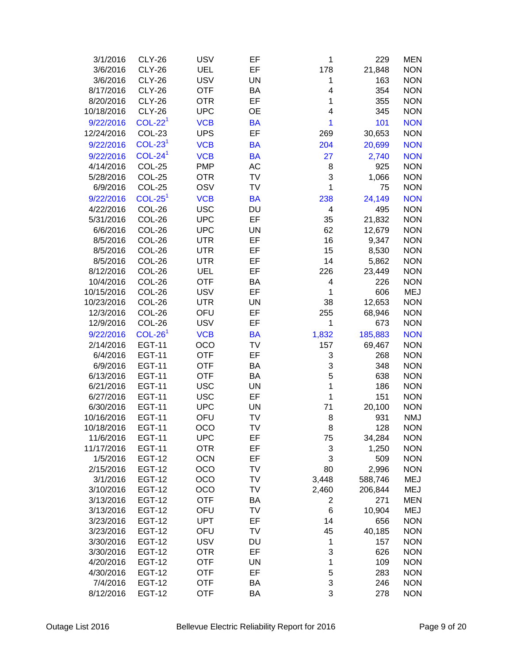| 3/1/2016   | <b>CLY-26</b> | <b>USV</b> | EF        | 1                       | 229     | <b>MEN</b> |
|------------|---------------|------------|-----------|-------------------------|---------|------------|
| 3/6/2016   | <b>CLY-26</b> | <b>UEL</b> | EF        | 178                     | 21,848  | <b>NON</b> |
| 3/6/2016   | <b>CLY-26</b> | <b>USV</b> | <b>UN</b> | 1                       | 163     | <b>NON</b> |
| 8/17/2016  | <b>CLY-26</b> | <b>OTF</b> | BA        | 4                       | 354     | <b>NON</b> |
| 8/20/2016  | <b>CLY-26</b> | <b>OTR</b> | EF        | $\mathbf 1$             | 355     | <b>NON</b> |
| 10/18/2016 | <b>CLY-26</b> | <b>UPC</b> | <b>OE</b> | 4                       | 345     | <b>NON</b> |
| 9/22/2016  | $COL-221$     | <b>VCB</b> | <b>BA</b> | 1                       | 101     | <b>NON</b> |
| 12/24/2016 | COL-23        | <b>UPS</b> | EF        | 269                     | 30,653  | <b>NON</b> |
| 9/22/2016  | $COL-231$     | <b>VCB</b> | <b>BA</b> | 204                     | 20,699  | <b>NON</b> |
| 9/22/2016  | $COL-241$     | <b>VCB</b> | <b>BA</b> | 27                      | 2,740   | <b>NON</b> |
| 4/14/2016  | COL-25        | <b>PMP</b> | AC        | 8                       | 925     | <b>NON</b> |
| 5/28/2016  | COL-25        | <b>OTR</b> | TV        | 3                       | 1,066   | <b>NON</b> |
| 6/9/2016   | COL-25        | OSV        | TV        | 1                       | 75      | <b>NON</b> |
|            | $COL-251$     |            |           |                         |         |            |
| 9/22/2016  |               | <b>VCB</b> | <b>BA</b> | 238                     | 24,149  | <b>NON</b> |
| 4/22/2016  | COL-26        | <b>USC</b> | DU        | 4                       | 495     | <b>NON</b> |
| 5/31/2016  | COL-26        | <b>UPC</b> | EF        | 35                      | 21,832  | <b>NON</b> |
| 6/6/2016   | COL-26        | <b>UPC</b> | UN        | 62                      | 12,679  | <b>NON</b> |
| 8/5/2016   | COL-26        | <b>UTR</b> | EF        | 16                      | 9,347   | <b>NON</b> |
| 8/5/2016   | COL-26        | <b>UTR</b> | EF        | 15                      | 8,530   | <b>NON</b> |
| 8/5/2016   | COL-26        | <b>UTR</b> | EF        | 14                      | 5,862   | <b>NON</b> |
| 8/12/2016  | COL-26        | UEL        | EF        | 226                     | 23,449  | <b>NON</b> |
| 10/4/2016  | COL-26        | <b>OTF</b> | BA        | 4                       | 226     | <b>NON</b> |
| 10/15/2016 | COL-26        | <b>USV</b> | EF        | 1                       | 606     | <b>MEJ</b> |
| 10/23/2016 | COL-26        | <b>UTR</b> | <b>UN</b> | 38                      | 12,653  | <b>NON</b> |
| 12/3/2016  | COL-26        | OFU        | EF        | 255                     | 68,946  | <b>NON</b> |
| 12/9/2016  | COL-26        | <b>USV</b> | EF        | 1                       | 673     | <b>NON</b> |
| 9/22/2016  | $COL-261$     | <b>VCB</b> | <b>BA</b> | 1,832                   | 185,883 | <b>NON</b> |
| 2/14/2016  | <b>EGT-11</b> | OCO        | TV        | 157                     | 69,467  | <b>NON</b> |
| 6/4/2016   | <b>EGT-11</b> | <b>OTF</b> | EF        | 3                       | 268     | <b>NON</b> |
| 6/9/2016   | <b>EGT-11</b> | <b>OTF</b> | BA        | 3                       | 348     | <b>NON</b> |
| 6/13/2016  | <b>EGT-11</b> | <b>OTF</b> | BA        | 5                       | 638     | <b>NON</b> |
| 6/21/2016  | <b>EGT-11</b> | <b>USC</b> | <b>UN</b> | $\mathbf 1$             | 186     | <b>NON</b> |
| 6/27/2016  | <b>EGT-11</b> | <b>USC</b> | EF        | 1                       | 151     | <b>NON</b> |
| 6/30/2016  | <b>EGT-11</b> | <b>UPC</b> | <b>UN</b> | 71                      | 20,100  | <b>NON</b> |
| 10/16/2016 | <b>EGT-11</b> | OFU        | <b>TV</b> | 8                       | 931     | <b>NMJ</b> |
| 10/18/2016 | <b>EGT-11</b> | <b>OCO</b> | TV        | 8                       | 128     | <b>NON</b> |
| 11/6/2016  | <b>EGT-11</b> | <b>UPC</b> | EF        | 75                      | 34,284  | <b>NON</b> |
| 11/17/2016 | <b>EGT-11</b> | <b>OTR</b> | EF        | 3                       | 1,250   | <b>NON</b> |
| 1/5/2016   | <b>EGT-12</b> | <b>OCN</b> | EF        | 3                       | 509     | <b>NON</b> |
| 2/15/2016  | <b>EGT-12</b> | OCO        | TV        | 80                      | 2,996   | <b>NON</b> |
| 3/1/2016   | <b>EGT-12</b> | OCO        | TV        | 3,448                   | 588,746 | <b>MEJ</b> |
| 3/10/2016  | <b>EGT-12</b> | OCO        | TV        | 2,460                   | 206,844 | <b>MEJ</b> |
| 3/13/2016  | <b>EGT-12</b> | <b>OTF</b> | BA        | $\overline{\mathbf{c}}$ | 271     | <b>MEN</b> |
| 3/13/2016  | <b>EGT-12</b> | OFU        | TV        | $6\phantom{1}6$         | 10,904  | <b>MEJ</b> |
| 3/23/2016  | <b>EGT-12</b> | <b>UPT</b> | EF        | 14                      | 656     | <b>NON</b> |
| 3/23/2016  | <b>EGT-12</b> | OFU        | TV        | 45                      | 40,185  | <b>NON</b> |
| 3/30/2016  | <b>EGT-12</b> | <b>USV</b> | DU        | 1                       | 157     | <b>NON</b> |
| 3/30/2016  | <b>EGT-12</b> | <b>OTR</b> | EF        | 3                       | 626     | <b>NON</b> |
| 4/20/2016  | <b>EGT-12</b> | <b>OTF</b> | <b>UN</b> | 1                       | 109     | <b>NON</b> |
| 4/30/2016  | <b>EGT-12</b> | <b>OTF</b> | EF        | 5                       | 283     | <b>NON</b> |
| 7/4/2016   | <b>EGT-12</b> | <b>OTF</b> | BA        | 3                       | 246     | <b>NON</b> |
| 8/12/2016  | <b>EGT-12</b> | <b>OTF</b> | BA        | 3                       | 278     | <b>NON</b> |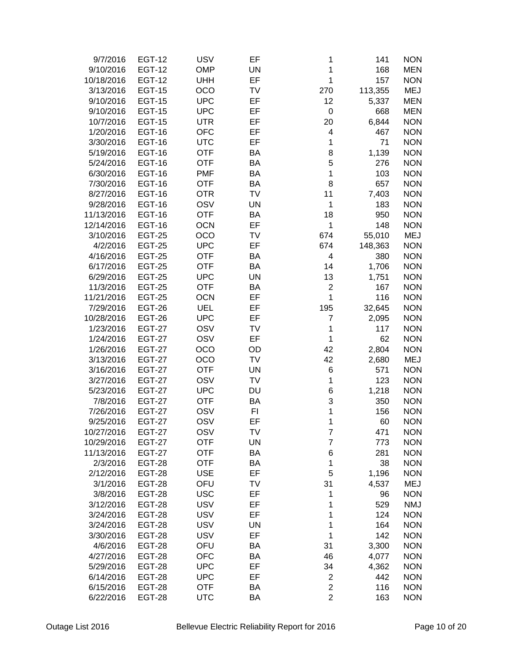| 9/7/2016   | <b>EGT-12</b> | <b>USV</b> | EF        | 1                       | 141     | <b>NON</b> |
|------------|---------------|------------|-----------|-------------------------|---------|------------|
| 9/10/2016  | <b>EGT-12</b> | OMP        | <b>UN</b> | 1                       | 168     | <b>MEN</b> |
| 10/18/2016 | <b>EGT-12</b> | <b>UHH</b> | EF        | 1                       | 157     | <b>NON</b> |
| 3/13/2016  | <b>EGT-15</b> | OCO        | <b>TV</b> | 270                     | 113,355 | <b>MEJ</b> |
| 9/10/2016  | <b>EGT-15</b> | <b>UPC</b> | EF        | 12                      | 5,337   | <b>MEN</b> |
| 9/10/2016  | <b>EGT-15</b> | <b>UPC</b> | EF        | 0                       | 668     | <b>MEN</b> |
| 10/7/2016  | <b>EGT-15</b> | <b>UTR</b> | EF        | 20                      | 6,844   | <b>NON</b> |
| 1/20/2016  | <b>EGT-16</b> | <b>OFC</b> | EF        | 4                       | 467     | <b>NON</b> |
| 3/30/2016  | <b>EGT-16</b> | <b>UTC</b> | EF        | 1                       | 71      | <b>NON</b> |
| 5/19/2016  | <b>EGT-16</b> | <b>OTF</b> | BA        | 8                       | 1,139   | <b>NON</b> |
| 5/24/2016  | <b>EGT-16</b> | <b>OTF</b> | BA        | 5                       | 276     | <b>NON</b> |
| 6/30/2016  | <b>EGT-16</b> | <b>PMF</b> | BA        | 1                       | 103     | <b>NON</b> |
| 7/30/2016  | <b>EGT-16</b> | <b>OTF</b> | BA        | 8                       | 657     | <b>NON</b> |
| 8/27/2016  | <b>EGT-16</b> |            | TV        |                         |         | <b>NON</b> |
|            |               | <b>OTR</b> |           | 11                      | 7,403   |            |
| 9/28/2016  | <b>EGT-16</b> | OSV        | <b>UN</b> | 1                       | 183     | <b>NON</b> |
| 11/13/2016 | <b>EGT-16</b> | <b>OTF</b> | BA        | 18                      | 950     | <b>NON</b> |
| 12/14/2016 | <b>EGT-16</b> | <b>OCN</b> | EF        | 1                       | 148     | <b>NON</b> |
| 3/10/2016  | <b>EGT-25</b> | OCO        | <b>TV</b> | 674                     | 55,010  | <b>MEJ</b> |
| 4/2/2016   | <b>EGT-25</b> | <b>UPC</b> | EF        | 674                     | 148,363 | <b>NON</b> |
| 4/16/2016  | <b>EGT-25</b> | <b>OTF</b> | BA        | 4                       | 380     | <b>NON</b> |
| 6/17/2016  | <b>EGT-25</b> | <b>OTF</b> | <b>BA</b> | 14                      | 1,706   | <b>NON</b> |
| 6/29/2016  | <b>EGT-25</b> | <b>UPC</b> | <b>UN</b> | 13                      | 1,751   | <b>NON</b> |
| 11/3/2016  | <b>EGT-25</b> | <b>OTF</b> | BA        | 2                       | 167     | <b>NON</b> |
| 11/21/2016 | <b>EGT-25</b> | <b>OCN</b> | EF        | 1                       | 116     | <b>NON</b> |
| 7/29/2016  | <b>EGT-26</b> | UEL        | EF        | 195                     | 32,645  | <b>NON</b> |
| 10/28/2016 | <b>EGT-26</b> | <b>UPC</b> | EF        | 7                       | 2,095   | <b>NON</b> |
| 1/23/2016  | <b>EGT-27</b> | OSV        | TV        | 1                       | 117     | <b>NON</b> |
| 1/24/2016  | <b>EGT-27</b> | OSV        | EF        | $\mathbf{1}$            | 62      | <b>NON</b> |
| 1/26/2016  | <b>EGT-27</b> | OCO        | OD        | 42                      | 2,804   | <b>NON</b> |
| 3/13/2016  | <b>EGT-27</b> | OCO        | TV        | 42                      | 2,680   | <b>MEJ</b> |
| 3/16/2016  | <b>EGT-27</b> | <b>OTF</b> | <b>UN</b> | 6                       | 571     | <b>NON</b> |
| 3/27/2016  | <b>EGT-27</b> | OSV        | TV        | 1                       | 123     | <b>NON</b> |
| 5/23/2016  | <b>EGT-27</b> | <b>UPC</b> | DU        | 6                       | 1,218   | <b>NON</b> |
| 7/8/2016   | <b>EGT-27</b> | <b>OTF</b> | <b>BA</b> | 3                       | 350     | <b>NON</b> |
| 7/26/2016  | <b>EGT-27</b> | OSV        | FI        | 1                       | 156     | <b>NON</b> |
| 9/25/2016  | <b>EGT-27</b> | OSV        | EF        | 1                       | 60      | <b>NON</b> |
| 10/27/2016 | EGT-27        | OSV        | TV        | 7                       | 471     | <b>NON</b> |
| 10/29/2016 | <b>EGT-27</b> | <b>OTF</b> | UN        | $\boldsymbol{7}$        | 773     | <b>NON</b> |
| 11/13/2016 | <b>EGT-27</b> | <b>OTF</b> | BA        | 6                       | 281     | <b>NON</b> |
| 2/3/2016   | <b>EGT-28</b> | <b>OTF</b> | BA        | 1                       | 38      | <b>NON</b> |
| 2/12/2016  | <b>EGT-28</b> | <b>USE</b> | EF        | 5                       | 1,196   | <b>NON</b> |
| 3/1/2016   | <b>EGT-28</b> | OFU        | TV        | 31                      | 4,537   | <b>MEJ</b> |
| 3/8/2016   | <b>EGT-28</b> | <b>USC</b> | EF        | 1                       | 96      | <b>NON</b> |
| 3/12/2016  | <b>EGT-28</b> | <b>USV</b> | EF        | 1                       | 529     | <b>NMJ</b> |
| 3/24/2016  | <b>EGT-28</b> | <b>USV</b> | EF        | 1                       | 124     | <b>NON</b> |
| 3/24/2016  | <b>EGT-28</b> | <b>USV</b> | <b>UN</b> | 1                       | 164     | <b>NON</b> |
| 3/30/2016  | <b>EGT-28</b> | <b>USV</b> | EF        | 1                       | 142     | <b>NON</b> |
| 4/6/2016   | <b>EGT-28</b> | OFU        | BA        | 31                      | 3,300   | <b>NON</b> |
| 4/27/2016  | <b>EGT-28</b> | <b>OFC</b> | BA        | 46                      | 4,077   | <b>NON</b> |
| 5/29/2016  | <b>EGT-28</b> | <b>UPC</b> | EF        | 34                      | 4,362   | <b>NON</b> |
| 6/14/2016  | <b>EGT-28</b> | <b>UPC</b> | EF        | 2                       | 442     | <b>NON</b> |
| 6/15/2016  | <b>EGT-28</b> | <b>OTF</b> | BA        | $\overline{\mathbf{c}}$ | 116     | <b>NON</b> |
| 6/22/2016  | <b>EGT-28</b> | <b>UTC</b> | BA        | $\overline{c}$          | 163     | <b>NON</b> |
|            |               |            |           |                         |         |            |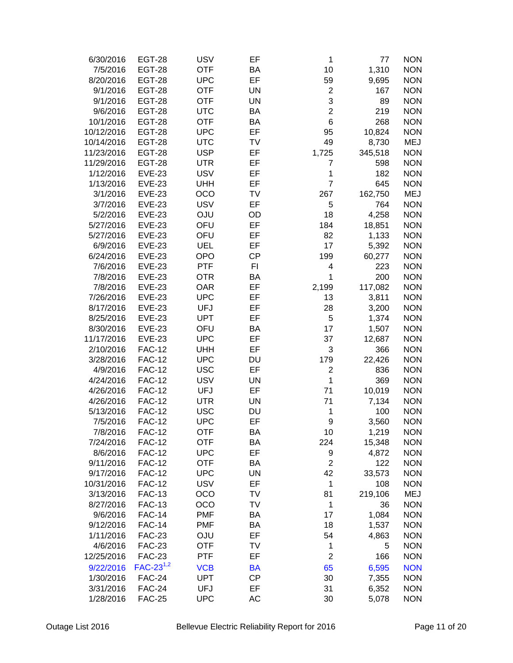| <b>OTF</b><br><b>BA</b><br>10<br>1,310<br><b>NON</b><br>7/5/2016<br><b>EGT-28</b><br>EF<br><b>UPC</b><br>59<br><b>NON</b><br>8/20/2016<br><b>EGT-28</b><br>9,695<br><b>OTF</b><br><b>UN</b><br><b>NON</b><br>9/1/2016<br><b>EGT-28</b><br>2<br>167<br>3<br><b>OTF</b><br><b>UN</b><br><b>NON</b><br>9/1/2016<br><b>EGT-28</b><br>89<br>$\overline{2}$<br><b>UTC</b><br><b>NON</b><br>9/6/2016<br><b>EGT-28</b><br>BA<br>219<br>6<br><b>NON</b><br><b>OTF</b><br><b>BA</b><br>10/1/2016<br><b>EGT-28</b><br>268<br>EF<br><b>UPC</b><br>10,824<br><b>NON</b><br>10/12/2016<br><b>EGT-28</b><br>95<br>49<br><b>UTC</b><br><b>TV</b><br><b>MEJ</b><br>10/14/2016<br><b>EGT-28</b><br>8,730<br><b>USP</b><br>EF<br>1,725<br><b>NON</b><br>11/23/2016<br><b>EGT-28</b><br>345,518<br><b>UTR</b><br>EF<br><b>NON</b><br>11/29/2016<br><b>EGT-28</b><br>7<br>598<br><b>USV</b><br>EF<br>1<br><b>NON</b><br>1/12/2016<br><b>EVE-23</b><br>182<br>EF<br>$\overline{7}$<br><b>EVE-23</b><br><b>NON</b><br>1/13/2016<br><b>UHH</b><br>645<br><b>EVE-23</b><br>OCO<br>TV<br><b>MEJ</b><br>3/1/2016<br>267<br>162,750<br><b>USV</b><br><b>EVE-23</b><br>EF<br>5<br><b>NON</b><br>3/7/2016<br>764<br><b>EVE-23</b><br><b>OJU</b><br>18<br><b>NON</b><br>5/2/2016<br>OD<br>4,258<br>EF<br>OFU<br><b>NON</b><br>5/27/2016<br><b>EVE-23</b><br>184<br>18,851<br>EF<br>82<br><b>NON</b><br>5/27/2016<br><b>EVE-23</b><br>OFU<br>1,133<br>EF<br>17<br><b>NON</b><br>6/9/2016<br><b>EVE-23</b><br><b>UEL</b><br>5,392<br><b>OPO</b><br><b>CP</b><br>199<br>60,277<br><b>NON</b><br>6/24/2016<br><b>EVE-23</b><br><b>EVE-23</b><br><b>PTF</b><br>FI<br><b>NON</b><br>7/6/2016<br>223<br>4<br><b>OTR</b><br>1<br>200<br><b>NON</b><br>7/8/2016<br><b>EVE-23</b><br>BA<br><b>OAR</b><br>EF<br>2,199<br>117,082<br><b>NON</b><br>7/8/2016<br><b>EVE-23</b><br><b>UPC</b><br>EF<br><b>NON</b><br>7/26/2016<br><b>EVE-23</b><br>13<br>3,811<br><b>NON</b><br><b>EVE-23</b><br><b>UFJ</b><br>EF<br>8/17/2016<br>28<br>3,200<br><b>UPT</b><br>EF<br>5<br><b>NON</b><br>8/25/2016<br><b>EVE-23</b><br>1,374<br><b>NON</b><br><b>EVE-23</b><br>OFU<br><b>BA</b><br>17<br>8/30/2016<br>1,507<br>11/17/2016<br><b>EVE-23</b><br><b>UPC</b><br>EF<br>37<br><b>NON</b><br>12,687<br><b>FAC-12</b><br>EF<br><b>NON</b><br>2/10/2016<br><b>UHH</b><br>3<br>366<br><b>FAC-12</b><br><b>NON</b><br>3/28/2016<br><b>UPC</b><br><b>DU</b><br>179<br>22,426<br>EF<br>4/9/2016<br><b>FAC-12</b><br><b>USC</b><br>$\overline{c}$<br>836<br><b>NON</b><br>$\mathbf 1$<br>4/24/2016<br><b>FAC-12</b><br><b>USV</b><br><b>UN</b><br>369<br><b>NON</b><br>EF<br>71<br><b>FAC-12</b><br><b>UFJ</b><br><b>NON</b><br>4/26/2016<br>10,019<br><b>FAC-12</b><br><b>UN</b><br>71<br><b>NON</b><br>4/26/2016<br><b>UTR</b><br>7,134<br><b>FAC-12</b><br><b>USC</b><br><b>DU</b><br><b>NON</b><br>5/13/2016<br>1<br>100<br>EF<br>9<br><b>NON</b><br>7/5/2016<br><b>FAC-12</b><br><b>UPC</b><br>3,560<br>7/8/2016<br><b>FAC-12</b><br><b>OTF</b><br>ВA<br>10<br>1,219<br><b>NON</b><br><b>OTF</b><br><b>NON</b><br>7/24/2016<br><b>FAC-12</b><br>BA<br>224<br>15,348<br>EF<br><b>UPC</b><br><b>NON</b><br>8/6/2016<br><b>FAC-12</b><br>9<br>4,872<br><b>OTF</b><br>$\overline{2}$<br><b>NON</b><br>9/11/2016<br><b>FAC-12</b><br>BA<br>122<br><b>UPC</b><br><b>UN</b><br>42<br><b>NON</b><br>9/17/2016<br><b>FAC-12</b><br>33,573<br><b>USV</b><br>EF<br><b>NON</b><br>10/31/2016<br><b>FAC-12</b><br>1<br>108<br>OCO<br>81<br><b>MEJ</b><br>3/13/2016<br><b>FAC-13</b><br>TV<br>219,106<br><b>FAC-13</b><br>OCO<br><b>TV</b><br>1<br><b>NON</b><br>8/27/2016<br>36<br><b>FAC-14</b><br><b>PMF</b><br>17<br><b>NON</b><br>9/6/2016<br>BA<br>1,084<br><b>FAC-14</b><br><b>PMF</b><br><b>NON</b><br>9/12/2016<br>BA<br>18<br>1,537<br><b>FAC-23</b><br><b>OJU</b><br>EF<br><b>NON</b><br>1/11/2016<br>54<br>4,863<br>4/6/2016<br>TV<br>1<br><b>NON</b><br><b>FAC-23</b><br><b>OTF</b><br>5<br><b>FAC-23</b><br>$\overline{c}$<br>12/25/2016<br><b>PTF</b><br>EF<br>166<br><b>NON</b><br>$FAC-23^{1,2}$<br>9/22/2016<br><b>VCB</b><br>65<br><b>NON</b><br><b>BA</b><br>6,595<br><b>UPT</b><br><b>CP</b><br><b>NON</b><br>1/30/2016<br><b>FAC-24</b><br>30<br>7,355<br><b>FAC-24</b><br>EF<br><b>NON</b><br>3/31/2016<br>UFJ<br>31<br>6,352<br><b>NON</b><br>1/28/2016<br><b>FAC-25</b><br><b>UPC</b><br>AC<br>30<br>5,078 | 6/30/2016 | <b>EGT-28</b> | <b>USV</b> | EF | 1 | 77 | <b>NON</b> |
|---------------------------------------------------------------------------------------------------------------------------------------------------------------------------------------------------------------------------------------------------------------------------------------------------------------------------------------------------------------------------------------------------------------------------------------------------------------------------------------------------------------------------------------------------------------------------------------------------------------------------------------------------------------------------------------------------------------------------------------------------------------------------------------------------------------------------------------------------------------------------------------------------------------------------------------------------------------------------------------------------------------------------------------------------------------------------------------------------------------------------------------------------------------------------------------------------------------------------------------------------------------------------------------------------------------------------------------------------------------------------------------------------------------------------------------------------------------------------------------------------------------------------------------------------------------------------------------------------------------------------------------------------------------------------------------------------------------------------------------------------------------------------------------------------------------------------------------------------------------------------------------------------------------------------------------------------------------------------------------------------------------------------------------------------------------------------------------------------------------------------------------------------------------------------------------------------------------------------------------------------------------------------------------------------------------------------------------------------------------------------------------------------------------------------------------------------------------------------------------------------------------------------------------------------------------------------------------------------------------------------------------------------------------------------------------------------------------------------------------------------------------------------------------------------------------------------------------------------------------------------------------------------------------------------------------------------------------------------------------------------------------------------------------------------------------------------------------------------------------------------------------------------------------------------------------------------------------------------------------------------------------------------------------------------------------------------------------------------------------------------------------------------------------------------------------------------------------------------------------------------------------------------------------------------------------------------------------------------------------------------------------------------------------------------------------------------------------------------------------------------------------------------------------------------------------------------------------------------------------------------------------------------------------------------------------------------------------------------------------------------------------------------------------------------------------------------------------------------------------------------------------------------------------------------------------------------------------------------------------------------------------------------------------------------------------------------------------------------------------|-----------|---------------|------------|----|---|----|------------|
|                                                                                                                                                                                                                                                                                                                                                                                                                                                                                                                                                                                                                                                                                                                                                                                                                                                                                                                                                                                                                                                                                                                                                                                                                                                                                                                                                                                                                                                                                                                                                                                                                                                                                                                                                                                                                                                                                                                                                                                                                                                                                                                                                                                                                                                                                                                                                                                                                                                                                                                                                                                                                                                                                                                                                                                                                                                                                                                                                                                                                                                                                                                                                                                                                                                                                                                                                                                                                                                                                                                                                                                                                                                                                                                                                                                                                                                                                                                                                                                                                                                                                                                                                                                                                                                                                                                                                               |           |               |            |    |   |    |            |
|                                                                                                                                                                                                                                                                                                                                                                                                                                                                                                                                                                                                                                                                                                                                                                                                                                                                                                                                                                                                                                                                                                                                                                                                                                                                                                                                                                                                                                                                                                                                                                                                                                                                                                                                                                                                                                                                                                                                                                                                                                                                                                                                                                                                                                                                                                                                                                                                                                                                                                                                                                                                                                                                                                                                                                                                                                                                                                                                                                                                                                                                                                                                                                                                                                                                                                                                                                                                                                                                                                                                                                                                                                                                                                                                                                                                                                                                                                                                                                                                                                                                                                                                                                                                                                                                                                                                                               |           |               |            |    |   |    |            |
|                                                                                                                                                                                                                                                                                                                                                                                                                                                                                                                                                                                                                                                                                                                                                                                                                                                                                                                                                                                                                                                                                                                                                                                                                                                                                                                                                                                                                                                                                                                                                                                                                                                                                                                                                                                                                                                                                                                                                                                                                                                                                                                                                                                                                                                                                                                                                                                                                                                                                                                                                                                                                                                                                                                                                                                                                                                                                                                                                                                                                                                                                                                                                                                                                                                                                                                                                                                                                                                                                                                                                                                                                                                                                                                                                                                                                                                                                                                                                                                                                                                                                                                                                                                                                                                                                                                                                               |           |               |            |    |   |    |            |
|                                                                                                                                                                                                                                                                                                                                                                                                                                                                                                                                                                                                                                                                                                                                                                                                                                                                                                                                                                                                                                                                                                                                                                                                                                                                                                                                                                                                                                                                                                                                                                                                                                                                                                                                                                                                                                                                                                                                                                                                                                                                                                                                                                                                                                                                                                                                                                                                                                                                                                                                                                                                                                                                                                                                                                                                                                                                                                                                                                                                                                                                                                                                                                                                                                                                                                                                                                                                                                                                                                                                                                                                                                                                                                                                                                                                                                                                                                                                                                                                                                                                                                                                                                                                                                                                                                                                                               |           |               |            |    |   |    |            |
|                                                                                                                                                                                                                                                                                                                                                                                                                                                                                                                                                                                                                                                                                                                                                                                                                                                                                                                                                                                                                                                                                                                                                                                                                                                                                                                                                                                                                                                                                                                                                                                                                                                                                                                                                                                                                                                                                                                                                                                                                                                                                                                                                                                                                                                                                                                                                                                                                                                                                                                                                                                                                                                                                                                                                                                                                                                                                                                                                                                                                                                                                                                                                                                                                                                                                                                                                                                                                                                                                                                                                                                                                                                                                                                                                                                                                                                                                                                                                                                                                                                                                                                                                                                                                                                                                                                                                               |           |               |            |    |   |    |            |
|                                                                                                                                                                                                                                                                                                                                                                                                                                                                                                                                                                                                                                                                                                                                                                                                                                                                                                                                                                                                                                                                                                                                                                                                                                                                                                                                                                                                                                                                                                                                                                                                                                                                                                                                                                                                                                                                                                                                                                                                                                                                                                                                                                                                                                                                                                                                                                                                                                                                                                                                                                                                                                                                                                                                                                                                                                                                                                                                                                                                                                                                                                                                                                                                                                                                                                                                                                                                                                                                                                                                                                                                                                                                                                                                                                                                                                                                                                                                                                                                                                                                                                                                                                                                                                                                                                                                                               |           |               |            |    |   |    |            |
|                                                                                                                                                                                                                                                                                                                                                                                                                                                                                                                                                                                                                                                                                                                                                                                                                                                                                                                                                                                                                                                                                                                                                                                                                                                                                                                                                                                                                                                                                                                                                                                                                                                                                                                                                                                                                                                                                                                                                                                                                                                                                                                                                                                                                                                                                                                                                                                                                                                                                                                                                                                                                                                                                                                                                                                                                                                                                                                                                                                                                                                                                                                                                                                                                                                                                                                                                                                                                                                                                                                                                                                                                                                                                                                                                                                                                                                                                                                                                                                                                                                                                                                                                                                                                                                                                                                                                               |           |               |            |    |   |    |            |
|                                                                                                                                                                                                                                                                                                                                                                                                                                                                                                                                                                                                                                                                                                                                                                                                                                                                                                                                                                                                                                                                                                                                                                                                                                                                                                                                                                                                                                                                                                                                                                                                                                                                                                                                                                                                                                                                                                                                                                                                                                                                                                                                                                                                                                                                                                                                                                                                                                                                                                                                                                                                                                                                                                                                                                                                                                                                                                                                                                                                                                                                                                                                                                                                                                                                                                                                                                                                                                                                                                                                                                                                                                                                                                                                                                                                                                                                                                                                                                                                                                                                                                                                                                                                                                                                                                                                                               |           |               |            |    |   |    |            |
|                                                                                                                                                                                                                                                                                                                                                                                                                                                                                                                                                                                                                                                                                                                                                                                                                                                                                                                                                                                                                                                                                                                                                                                                                                                                                                                                                                                                                                                                                                                                                                                                                                                                                                                                                                                                                                                                                                                                                                                                                                                                                                                                                                                                                                                                                                                                                                                                                                                                                                                                                                                                                                                                                                                                                                                                                                                                                                                                                                                                                                                                                                                                                                                                                                                                                                                                                                                                                                                                                                                                                                                                                                                                                                                                                                                                                                                                                                                                                                                                                                                                                                                                                                                                                                                                                                                                                               |           |               |            |    |   |    |            |
|                                                                                                                                                                                                                                                                                                                                                                                                                                                                                                                                                                                                                                                                                                                                                                                                                                                                                                                                                                                                                                                                                                                                                                                                                                                                                                                                                                                                                                                                                                                                                                                                                                                                                                                                                                                                                                                                                                                                                                                                                                                                                                                                                                                                                                                                                                                                                                                                                                                                                                                                                                                                                                                                                                                                                                                                                                                                                                                                                                                                                                                                                                                                                                                                                                                                                                                                                                                                                                                                                                                                                                                                                                                                                                                                                                                                                                                                                                                                                                                                                                                                                                                                                                                                                                                                                                                                                               |           |               |            |    |   |    |            |
|                                                                                                                                                                                                                                                                                                                                                                                                                                                                                                                                                                                                                                                                                                                                                                                                                                                                                                                                                                                                                                                                                                                                                                                                                                                                                                                                                                                                                                                                                                                                                                                                                                                                                                                                                                                                                                                                                                                                                                                                                                                                                                                                                                                                                                                                                                                                                                                                                                                                                                                                                                                                                                                                                                                                                                                                                                                                                                                                                                                                                                                                                                                                                                                                                                                                                                                                                                                                                                                                                                                                                                                                                                                                                                                                                                                                                                                                                                                                                                                                                                                                                                                                                                                                                                                                                                                                                               |           |               |            |    |   |    |            |
|                                                                                                                                                                                                                                                                                                                                                                                                                                                                                                                                                                                                                                                                                                                                                                                                                                                                                                                                                                                                                                                                                                                                                                                                                                                                                                                                                                                                                                                                                                                                                                                                                                                                                                                                                                                                                                                                                                                                                                                                                                                                                                                                                                                                                                                                                                                                                                                                                                                                                                                                                                                                                                                                                                                                                                                                                                                                                                                                                                                                                                                                                                                                                                                                                                                                                                                                                                                                                                                                                                                                                                                                                                                                                                                                                                                                                                                                                                                                                                                                                                                                                                                                                                                                                                                                                                                                                               |           |               |            |    |   |    |            |
|                                                                                                                                                                                                                                                                                                                                                                                                                                                                                                                                                                                                                                                                                                                                                                                                                                                                                                                                                                                                                                                                                                                                                                                                                                                                                                                                                                                                                                                                                                                                                                                                                                                                                                                                                                                                                                                                                                                                                                                                                                                                                                                                                                                                                                                                                                                                                                                                                                                                                                                                                                                                                                                                                                                                                                                                                                                                                                                                                                                                                                                                                                                                                                                                                                                                                                                                                                                                                                                                                                                                                                                                                                                                                                                                                                                                                                                                                                                                                                                                                                                                                                                                                                                                                                                                                                                                                               |           |               |            |    |   |    |            |
|                                                                                                                                                                                                                                                                                                                                                                                                                                                                                                                                                                                                                                                                                                                                                                                                                                                                                                                                                                                                                                                                                                                                                                                                                                                                                                                                                                                                                                                                                                                                                                                                                                                                                                                                                                                                                                                                                                                                                                                                                                                                                                                                                                                                                                                                                                                                                                                                                                                                                                                                                                                                                                                                                                                                                                                                                                                                                                                                                                                                                                                                                                                                                                                                                                                                                                                                                                                                                                                                                                                                                                                                                                                                                                                                                                                                                                                                                                                                                                                                                                                                                                                                                                                                                                                                                                                                                               |           |               |            |    |   |    |            |
|                                                                                                                                                                                                                                                                                                                                                                                                                                                                                                                                                                                                                                                                                                                                                                                                                                                                                                                                                                                                                                                                                                                                                                                                                                                                                                                                                                                                                                                                                                                                                                                                                                                                                                                                                                                                                                                                                                                                                                                                                                                                                                                                                                                                                                                                                                                                                                                                                                                                                                                                                                                                                                                                                                                                                                                                                                                                                                                                                                                                                                                                                                                                                                                                                                                                                                                                                                                                                                                                                                                                                                                                                                                                                                                                                                                                                                                                                                                                                                                                                                                                                                                                                                                                                                                                                                                                                               |           |               |            |    |   |    |            |
|                                                                                                                                                                                                                                                                                                                                                                                                                                                                                                                                                                                                                                                                                                                                                                                                                                                                                                                                                                                                                                                                                                                                                                                                                                                                                                                                                                                                                                                                                                                                                                                                                                                                                                                                                                                                                                                                                                                                                                                                                                                                                                                                                                                                                                                                                                                                                                                                                                                                                                                                                                                                                                                                                                                                                                                                                                                                                                                                                                                                                                                                                                                                                                                                                                                                                                                                                                                                                                                                                                                                                                                                                                                                                                                                                                                                                                                                                                                                                                                                                                                                                                                                                                                                                                                                                                                                                               |           |               |            |    |   |    |            |
|                                                                                                                                                                                                                                                                                                                                                                                                                                                                                                                                                                                                                                                                                                                                                                                                                                                                                                                                                                                                                                                                                                                                                                                                                                                                                                                                                                                                                                                                                                                                                                                                                                                                                                                                                                                                                                                                                                                                                                                                                                                                                                                                                                                                                                                                                                                                                                                                                                                                                                                                                                                                                                                                                                                                                                                                                                                                                                                                                                                                                                                                                                                                                                                                                                                                                                                                                                                                                                                                                                                                                                                                                                                                                                                                                                                                                                                                                                                                                                                                                                                                                                                                                                                                                                                                                                                                                               |           |               |            |    |   |    |            |
|                                                                                                                                                                                                                                                                                                                                                                                                                                                                                                                                                                                                                                                                                                                                                                                                                                                                                                                                                                                                                                                                                                                                                                                                                                                                                                                                                                                                                                                                                                                                                                                                                                                                                                                                                                                                                                                                                                                                                                                                                                                                                                                                                                                                                                                                                                                                                                                                                                                                                                                                                                                                                                                                                                                                                                                                                                                                                                                                                                                                                                                                                                                                                                                                                                                                                                                                                                                                                                                                                                                                                                                                                                                                                                                                                                                                                                                                                                                                                                                                                                                                                                                                                                                                                                                                                                                                                               |           |               |            |    |   |    |            |
|                                                                                                                                                                                                                                                                                                                                                                                                                                                                                                                                                                                                                                                                                                                                                                                                                                                                                                                                                                                                                                                                                                                                                                                                                                                                                                                                                                                                                                                                                                                                                                                                                                                                                                                                                                                                                                                                                                                                                                                                                                                                                                                                                                                                                                                                                                                                                                                                                                                                                                                                                                                                                                                                                                                                                                                                                                                                                                                                                                                                                                                                                                                                                                                                                                                                                                                                                                                                                                                                                                                                                                                                                                                                                                                                                                                                                                                                                                                                                                                                                                                                                                                                                                                                                                                                                                                                                               |           |               |            |    |   |    |            |
|                                                                                                                                                                                                                                                                                                                                                                                                                                                                                                                                                                                                                                                                                                                                                                                                                                                                                                                                                                                                                                                                                                                                                                                                                                                                                                                                                                                                                                                                                                                                                                                                                                                                                                                                                                                                                                                                                                                                                                                                                                                                                                                                                                                                                                                                                                                                                                                                                                                                                                                                                                                                                                                                                                                                                                                                                                                                                                                                                                                                                                                                                                                                                                                                                                                                                                                                                                                                                                                                                                                                                                                                                                                                                                                                                                                                                                                                                                                                                                                                                                                                                                                                                                                                                                                                                                                                                               |           |               |            |    |   |    |            |
|                                                                                                                                                                                                                                                                                                                                                                                                                                                                                                                                                                                                                                                                                                                                                                                                                                                                                                                                                                                                                                                                                                                                                                                                                                                                                                                                                                                                                                                                                                                                                                                                                                                                                                                                                                                                                                                                                                                                                                                                                                                                                                                                                                                                                                                                                                                                                                                                                                                                                                                                                                                                                                                                                                                                                                                                                                                                                                                                                                                                                                                                                                                                                                                                                                                                                                                                                                                                                                                                                                                                                                                                                                                                                                                                                                                                                                                                                                                                                                                                                                                                                                                                                                                                                                                                                                                                                               |           |               |            |    |   |    |            |
|                                                                                                                                                                                                                                                                                                                                                                                                                                                                                                                                                                                                                                                                                                                                                                                                                                                                                                                                                                                                                                                                                                                                                                                                                                                                                                                                                                                                                                                                                                                                                                                                                                                                                                                                                                                                                                                                                                                                                                                                                                                                                                                                                                                                                                                                                                                                                                                                                                                                                                                                                                                                                                                                                                                                                                                                                                                                                                                                                                                                                                                                                                                                                                                                                                                                                                                                                                                                                                                                                                                                                                                                                                                                                                                                                                                                                                                                                                                                                                                                                                                                                                                                                                                                                                                                                                                                                               |           |               |            |    |   |    |            |
|                                                                                                                                                                                                                                                                                                                                                                                                                                                                                                                                                                                                                                                                                                                                                                                                                                                                                                                                                                                                                                                                                                                                                                                                                                                                                                                                                                                                                                                                                                                                                                                                                                                                                                                                                                                                                                                                                                                                                                                                                                                                                                                                                                                                                                                                                                                                                                                                                                                                                                                                                                                                                                                                                                                                                                                                                                                                                                                                                                                                                                                                                                                                                                                                                                                                                                                                                                                                                                                                                                                                                                                                                                                                                                                                                                                                                                                                                                                                                                                                                                                                                                                                                                                                                                                                                                                                                               |           |               |            |    |   |    |            |
|                                                                                                                                                                                                                                                                                                                                                                                                                                                                                                                                                                                                                                                                                                                                                                                                                                                                                                                                                                                                                                                                                                                                                                                                                                                                                                                                                                                                                                                                                                                                                                                                                                                                                                                                                                                                                                                                                                                                                                                                                                                                                                                                                                                                                                                                                                                                                                                                                                                                                                                                                                                                                                                                                                                                                                                                                                                                                                                                                                                                                                                                                                                                                                                                                                                                                                                                                                                                                                                                                                                                                                                                                                                                                                                                                                                                                                                                                                                                                                                                                                                                                                                                                                                                                                                                                                                                                               |           |               |            |    |   |    |            |
|                                                                                                                                                                                                                                                                                                                                                                                                                                                                                                                                                                                                                                                                                                                                                                                                                                                                                                                                                                                                                                                                                                                                                                                                                                                                                                                                                                                                                                                                                                                                                                                                                                                                                                                                                                                                                                                                                                                                                                                                                                                                                                                                                                                                                                                                                                                                                                                                                                                                                                                                                                                                                                                                                                                                                                                                                                                                                                                                                                                                                                                                                                                                                                                                                                                                                                                                                                                                                                                                                                                                                                                                                                                                                                                                                                                                                                                                                                                                                                                                                                                                                                                                                                                                                                                                                                                                                               |           |               |            |    |   |    |            |
|                                                                                                                                                                                                                                                                                                                                                                                                                                                                                                                                                                                                                                                                                                                                                                                                                                                                                                                                                                                                                                                                                                                                                                                                                                                                                                                                                                                                                                                                                                                                                                                                                                                                                                                                                                                                                                                                                                                                                                                                                                                                                                                                                                                                                                                                                                                                                                                                                                                                                                                                                                                                                                                                                                                                                                                                                                                                                                                                                                                                                                                                                                                                                                                                                                                                                                                                                                                                                                                                                                                                                                                                                                                                                                                                                                                                                                                                                                                                                                                                                                                                                                                                                                                                                                                                                                                                                               |           |               |            |    |   |    |            |
|                                                                                                                                                                                                                                                                                                                                                                                                                                                                                                                                                                                                                                                                                                                                                                                                                                                                                                                                                                                                                                                                                                                                                                                                                                                                                                                                                                                                                                                                                                                                                                                                                                                                                                                                                                                                                                                                                                                                                                                                                                                                                                                                                                                                                                                                                                                                                                                                                                                                                                                                                                                                                                                                                                                                                                                                                                                                                                                                                                                                                                                                                                                                                                                                                                                                                                                                                                                                                                                                                                                                                                                                                                                                                                                                                                                                                                                                                                                                                                                                                                                                                                                                                                                                                                                                                                                                                               |           |               |            |    |   |    |            |
|                                                                                                                                                                                                                                                                                                                                                                                                                                                                                                                                                                                                                                                                                                                                                                                                                                                                                                                                                                                                                                                                                                                                                                                                                                                                                                                                                                                                                                                                                                                                                                                                                                                                                                                                                                                                                                                                                                                                                                                                                                                                                                                                                                                                                                                                                                                                                                                                                                                                                                                                                                                                                                                                                                                                                                                                                                                                                                                                                                                                                                                                                                                                                                                                                                                                                                                                                                                                                                                                                                                                                                                                                                                                                                                                                                                                                                                                                                                                                                                                                                                                                                                                                                                                                                                                                                                                                               |           |               |            |    |   |    |            |
|                                                                                                                                                                                                                                                                                                                                                                                                                                                                                                                                                                                                                                                                                                                                                                                                                                                                                                                                                                                                                                                                                                                                                                                                                                                                                                                                                                                                                                                                                                                                                                                                                                                                                                                                                                                                                                                                                                                                                                                                                                                                                                                                                                                                                                                                                                                                                                                                                                                                                                                                                                                                                                                                                                                                                                                                                                                                                                                                                                                                                                                                                                                                                                                                                                                                                                                                                                                                                                                                                                                                                                                                                                                                                                                                                                                                                                                                                                                                                                                                                                                                                                                                                                                                                                                                                                                                                               |           |               |            |    |   |    |            |
|                                                                                                                                                                                                                                                                                                                                                                                                                                                                                                                                                                                                                                                                                                                                                                                                                                                                                                                                                                                                                                                                                                                                                                                                                                                                                                                                                                                                                                                                                                                                                                                                                                                                                                                                                                                                                                                                                                                                                                                                                                                                                                                                                                                                                                                                                                                                                                                                                                                                                                                                                                                                                                                                                                                                                                                                                                                                                                                                                                                                                                                                                                                                                                                                                                                                                                                                                                                                                                                                                                                                                                                                                                                                                                                                                                                                                                                                                                                                                                                                                                                                                                                                                                                                                                                                                                                                                               |           |               |            |    |   |    |            |
|                                                                                                                                                                                                                                                                                                                                                                                                                                                                                                                                                                                                                                                                                                                                                                                                                                                                                                                                                                                                                                                                                                                                                                                                                                                                                                                                                                                                                                                                                                                                                                                                                                                                                                                                                                                                                                                                                                                                                                                                                                                                                                                                                                                                                                                                                                                                                                                                                                                                                                                                                                                                                                                                                                                                                                                                                                                                                                                                                                                                                                                                                                                                                                                                                                                                                                                                                                                                                                                                                                                                                                                                                                                                                                                                                                                                                                                                                                                                                                                                                                                                                                                                                                                                                                                                                                                                                               |           |               |            |    |   |    |            |
|                                                                                                                                                                                                                                                                                                                                                                                                                                                                                                                                                                                                                                                                                                                                                                                                                                                                                                                                                                                                                                                                                                                                                                                                                                                                                                                                                                                                                                                                                                                                                                                                                                                                                                                                                                                                                                                                                                                                                                                                                                                                                                                                                                                                                                                                                                                                                                                                                                                                                                                                                                                                                                                                                                                                                                                                                                                                                                                                                                                                                                                                                                                                                                                                                                                                                                                                                                                                                                                                                                                                                                                                                                                                                                                                                                                                                                                                                                                                                                                                                                                                                                                                                                                                                                                                                                                                                               |           |               |            |    |   |    |            |
|                                                                                                                                                                                                                                                                                                                                                                                                                                                                                                                                                                                                                                                                                                                                                                                                                                                                                                                                                                                                                                                                                                                                                                                                                                                                                                                                                                                                                                                                                                                                                                                                                                                                                                                                                                                                                                                                                                                                                                                                                                                                                                                                                                                                                                                                                                                                                                                                                                                                                                                                                                                                                                                                                                                                                                                                                                                                                                                                                                                                                                                                                                                                                                                                                                                                                                                                                                                                                                                                                                                                                                                                                                                                                                                                                                                                                                                                                                                                                                                                                                                                                                                                                                                                                                                                                                                                                               |           |               |            |    |   |    |            |
|                                                                                                                                                                                                                                                                                                                                                                                                                                                                                                                                                                                                                                                                                                                                                                                                                                                                                                                                                                                                                                                                                                                                                                                                                                                                                                                                                                                                                                                                                                                                                                                                                                                                                                                                                                                                                                                                                                                                                                                                                                                                                                                                                                                                                                                                                                                                                                                                                                                                                                                                                                                                                                                                                                                                                                                                                                                                                                                                                                                                                                                                                                                                                                                                                                                                                                                                                                                                                                                                                                                                                                                                                                                                                                                                                                                                                                                                                                                                                                                                                                                                                                                                                                                                                                                                                                                                                               |           |               |            |    |   |    |            |
|                                                                                                                                                                                                                                                                                                                                                                                                                                                                                                                                                                                                                                                                                                                                                                                                                                                                                                                                                                                                                                                                                                                                                                                                                                                                                                                                                                                                                                                                                                                                                                                                                                                                                                                                                                                                                                                                                                                                                                                                                                                                                                                                                                                                                                                                                                                                                                                                                                                                                                                                                                                                                                                                                                                                                                                                                                                                                                                                                                                                                                                                                                                                                                                                                                                                                                                                                                                                                                                                                                                                                                                                                                                                                                                                                                                                                                                                                                                                                                                                                                                                                                                                                                                                                                                                                                                                                               |           |               |            |    |   |    |            |
|                                                                                                                                                                                                                                                                                                                                                                                                                                                                                                                                                                                                                                                                                                                                                                                                                                                                                                                                                                                                                                                                                                                                                                                                                                                                                                                                                                                                                                                                                                                                                                                                                                                                                                                                                                                                                                                                                                                                                                                                                                                                                                                                                                                                                                                                                                                                                                                                                                                                                                                                                                                                                                                                                                                                                                                                                                                                                                                                                                                                                                                                                                                                                                                                                                                                                                                                                                                                                                                                                                                                                                                                                                                                                                                                                                                                                                                                                                                                                                                                                                                                                                                                                                                                                                                                                                                                                               |           |               |            |    |   |    |            |
|                                                                                                                                                                                                                                                                                                                                                                                                                                                                                                                                                                                                                                                                                                                                                                                                                                                                                                                                                                                                                                                                                                                                                                                                                                                                                                                                                                                                                                                                                                                                                                                                                                                                                                                                                                                                                                                                                                                                                                                                                                                                                                                                                                                                                                                                                                                                                                                                                                                                                                                                                                                                                                                                                                                                                                                                                                                                                                                                                                                                                                                                                                                                                                                                                                                                                                                                                                                                                                                                                                                                                                                                                                                                                                                                                                                                                                                                                                                                                                                                                                                                                                                                                                                                                                                                                                                                                               |           |               |            |    |   |    |            |
|                                                                                                                                                                                                                                                                                                                                                                                                                                                                                                                                                                                                                                                                                                                                                                                                                                                                                                                                                                                                                                                                                                                                                                                                                                                                                                                                                                                                                                                                                                                                                                                                                                                                                                                                                                                                                                                                                                                                                                                                                                                                                                                                                                                                                                                                                                                                                                                                                                                                                                                                                                                                                                                                                                                                                                                                                                                                                                                                                                                                                                                                                                                                                                                                                                                                                                                                                                                                                                                                                                                                                                                                                                                                                                                                                                                                                                                                                                                                                                                                                                                                                                                                                                                                                                                                                                                                                               |           |               |            |    |   |    |            |
|                                                                                                                                                                                                                                                                                                                                                                                                                                                                                                                                                                                                                                                                                                                                                                                                                                                                                                                                                                                                                                                                                                                                                                                                                                                                                                                                                                                                                                                                                                                                                                                                                                                                                                                                                                                                                                                                                                                                                                                                                                                                                                                                                                                                                                                                                                                                                                                                                                                                                                                                                                                                                                                                                                                                                                                                                                                                                                                                                                                                                                                                                                                                                                                                                                                                                                                                                                                                                                                                                                                                                                                                                                                                                                                                                                                                                                                                                                                                                                                                                                                                                                                                                                                                                                                                                                                                                               |           |               |            |    |   |    |            |
|                                                                                                                                                                                                                                                                                                                                                                                                                                                                                                                                                                                                                                                                                                                                                                                                                                                                                                                                                                                                                                                                                                                                                                                                                                                                                                                                                                                                                                                                                                                                                                                                                                                                                                                                                                                                                                                                                                                                                                                                                                                                                                                                                                                                                                                                                                                                                                                                                                                                                                                                                                                                                                                                                                                                                                                                                                                                                                                                                                                                                                                                                                                                                                                                                                                                                                                                                                                                                                                                                                                                                                                                                                                                                                                                                                                                                                                                                                                                                                                                                                                                                                                                                                                                                                                                                                                                                               |           |               |            |    |   |    |            |
|                                                                                                                                                                                                                                                                                                                                                                                                                                                                                                                                                                                                                                                                                                                                                                                                                                                                                                                                                                                                                                                                                                                                                                                                                                                                                                                                                                                                                                                                                                                                                                                                                                                                                                                                                                                                                                                                                                                                                                                                                                                                                                                                                                                                                                                                                                                                                                                                                                                                                                                                                                                                                                                                                                                                                                                                                                                                                                                                                                                                                                                                                                                                                                                                                                                                                                                                                                                                                                                                                                                                                                                                                                                                                                                                                                                                                                                                                                                                                                                                                                                                                                                                                                                                                                                                                                                                                               |           |               |            |    |   |    |            |
|                                                                                                                                                                                                                                                                                                                                                                                                                                                                                                                                                                                                                                                                                                                                                                                                                                                                                                                                                                                                                                                                                                                                                                                                                                                                                                                                                                                                                                                                                                                                                                                                                                                                                                                                                                                                                                                                                                                                                                                                                                                                                                                                                                                                                                                                                                                                                                                                                                                                                                                                                                                                                                                                                                                                                                                                                                                                                                                                                                                                                                                                                                                                                                                                                                                                                                                                                                                                                                                                                                                                                                                                                                                                                                                                                                                                                                                                                                                                                                                                                                                                                                                                                                                                                                                                                                                                                               |           |               |            |    |   |    |            |
|                                                                                                                                                                                                                                                                                                                                                                                                                                                                                                                                                                                                                                                                                                                                                                                                                                                                                                                                                                                                                                                                                                                                                                                                                                                                                                                                                                                                                                                                                                                                                                                                                                                                                                                                                                                                                                                                                                                                                                                                                                                                                                                                                                                                                                                                                                                                                                                                                                                                                                                                                                                                                                                                                                                                                                                                                                                                                                                                                                                                                                                                                                                                                                                                                                                                                                                                                                                                                                                                                                                                                                                                                                                                                                                                                                                                                                                                                                                                                                                                                                                                                                                                                                                                                                                                                                                                                               |           |               |            |    |   |    |            |
|                                                                                                                                                                                                                                                                                                                                                                                                                                                                                                                                                                                                                                                                                                                                                                                                                                                                                                                                                                                                                                                                                                                                                                                                                                                                                                                                                                                                                                                                                                                                                                                                                                                                                                                                                                                                                                                                                                                                                                                                                                                                                                                                                                                                                                                                                                                                                                                                                                                                                                                                                                                                                                                                                                                                                                                                                                                                                                                                                                                                                                                                                                                                                                                                                                                                                                                                                                                                                                                                                                                                                                                                                                                                                                                                                                                                                                                                                                                                                                                                                                                                                                                                                                                                                                                                                                                                                               |           |               |            |    |   |    |            |
|                                                                                                                                                                                                                                                                                                                                                                                                                                                                                                                                                                                                                                                                                                                                                                                                                                                                                                                                                                                                                                                                                                                                                                                                                                                                                                                                                                                                                                                                                                                                                                                                                                                                                                                                                                                                                                                                                                                                                                                                                                                                                                                                                                                                                                                                                                                                                                                                                                                                                                                                                                                                                                                                                                                                                                                                                                                                                                                                                                                                                                                                                                                                                                                                                                                                                                                                                                                                                                                                                                                                                                                                                                                                                                                                                                                                                                                                                                                                                                                                                                                                                                                                                                                                                                                                                                                                                               |           |               |            |    |   |    |            |
|                                                                                                                                                                                                                                                                                                                                                                                                                                                                                                                                                                                                                                                                                                                                                                                                                                                                                                                                                                                                                                                                                                                                                                                                                                                                                                                                                                                                                                                                                                                                                                                                                                                                                                                                                                                                                                                                                                                                                                                                                                                                                                                                                                                                                                                                                                                                                                                                                                                                                                                                                                                                                                                                                                                                                                                                                                                                                                                                                                                                                                                                                                                                                                                                                                                                                                                                                                                                                                                                                                                                                                                                                                                                                                                                                                                                                                                                                                                                                                                                                                                                                                                                                                                                                                                                                                                                                               |           |               |            |    |   |    |            |
|                                                                                                                                                                                                                                                                                                                                                                                                                                                                                                                                                                                                                                                                                                                                                                                                                                                                                                                                                                                                                                                                                                                                                                                                                                                                                                                                                                                                                                                                                                                                                                                                                                                                                                                                                                                                                                                                                                                                                                                                                                                                                                                                                                                                                                                                                                                                                                                                                                                                                                                                                                                                                                                                                                                                                                                                                                                                                                                                                                                                                                                                                                                                                                                                                                                                                                                                                                                                                                                                                                                                                                                                                                                                                                                                                                                                                                                                                                                                                                                                                                                                                                                                                                                                                                                                                                                                                               |           |               |            |    |   |    |            |
|                                                                                                                                                                                                                                                                                                                                                                                                                                                                                                                                                                                                                                                                                                                                                                                                                                                                                                                                                                                                                                                                                                                                                                                                                                                                                                                                                                                                                                                                                                                                                                                                                                                                                                                                                                                                                                                                                                                                                                                                                                                                                                                                                                                                                                                                                                                                                                                                                                                                                                                                                                                                                                                                                                                                                                                                                                                                                                                                                                                                                                                                                                                                                                                                                                                                                                                                                                                                                                                                                                                                                                                                                                                                                                                                                                                                                                                                                                                                                                                                                                                                                                                                                                                                                                                                                                                                                               |           |               |            |    |   |    |            |
|                                                                                                                                                                                                                                                                                                                                                                                                                                                                                                                                                                                                                                                                                                                                                                                                                                                                                                                                                                                                                                                                                                                                                                                                                                                                                                                                                                                                                                                                                                                                                                                                                                                                                                                                                                                                                                                                                                                                                                                                                                                                                                                                                                                                                                                                                                                                                                                                                                                                                                                                                                                                                                                                                                                                                                                                                                                                                                                                                                                                                                                                                                                                                                                                                                                                                                                                                                                                                                                                                                                                                                                                                                                                                                                                                                                                                                                                                                                                                                                                                                                                                                                                                                                                                                                                                                                                                               |           |               |            |    |   |    |            |
|                                                                                                                                                                                                                                                                                                                                                                                                                                                                                                                                                                                                                                                                                                                                                                                                                                                                                                                                                                                                                                                                                                                                                                                                                                                                                                                                                                                                                                                                                                                                                                                                                                                                                                                                                                                                                                                                                                                                                                                                                                                                                                                                                                                                                                                                                                                                                                                                                                                                                                                                                                                                                                                                                                                                                                                                                                                                                                                                                                                                                                                                                                                                                                                                                                                                                                                                                                                                                                                                                                                                                                                                                                                                                                                                                                                                                                                                                                                                                                                                                                                                                                                                                                                                                                                                                                                                                               |           |               |            |    |   |    |            |
|                                                                                                                                                                                                                                                                                                                                                                                                                                                                                                                                                                                                                                                                                                                                                                                                                                                                                                                                                                                                                                                                                                                                                                                                                                                                                                                                                                                                                                                                                                                                                                                                                                                                                                                                                                                                                                                                                                                                                                                                                                                                                                                                                                                                                                                                                                                                                                                                                                                                                                                                                                                                                                                                                                                                                                                                                                                                                                                                                                                                                                                                                                                                                                                                                                                                                                                                                                                                                                                                                                                                                                                                                                                                                                                                                                                                                                                                                                                                                                                                                                                                                                                                                                                                                                                                                                                                                               |           |               |            |    |   |    |            |
|                                                                                                                                                                                                                                                                                                                                                                                                                                                                                                                                                                                                                                                                                                                                                                                                                                                                                                                                                                                                                                                                                                                                                                                                                                                                                                                                                                                                                                                                                                                                                                                                                                                                                                                                                                                                                                                                                                                                                                                                                                                                                                                                                                                                                                                                                                                                                                                                                                                                                                                                                                                                                                                                                                                                                                                                                                                                                                                                                                                                                                                                                                                                                                                                                                                                                                                                                                                                                                                                                                                                                                                                                                                                                                                                                                                                                                                                                                                                                                                                                                                                                                                                                                                                                                                                                                                                                               |           |               |            |    |   |    |            |
|                                                                                                                                                                                                                                                                                                                                                                                                                                                                                                                                                                                                                                                                                                                                                                                                                                                                                                                                                                                                                                                                                                                                                                                                                                                                                                                                                                                                                                                                                                                                                                                                                                                                                                                                                                                                                                                                                                                                                                                                                                                                                                                                                                                                                                                                                                                                                                                                                                                                                                                                                                                                                                                                                                                                                                                                                                                                                                                                                                                                                                                                                                                                                                                                                                                                                                                                                                                                                                                                                                                                                                                                                                                                                                                                                                                                                                                                                                                                                                                                                                                                                                                                                                                                                                                                                                                                                               |           |               |            |    |   |    |            |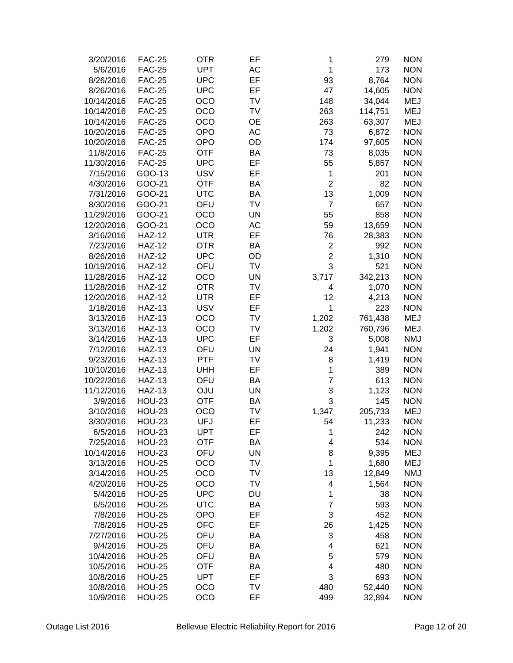| 3/20/2016              | <b>FAC-25</b> | <b>OTR</b> | EF        | 1                       | 279     | <b>NON</b> |
|------------------------|---------------|------------|-----------|-------------------------|---------|------------|
| 5/6/2016               | <b>FAC-25</b> | <b>UPT</b> | AC        | $\mathbf{1}$            | 173     | <b>NON</b> |
| 8/26/2016              | <b>FAC-25</b> | <b>UPC</b> | EF        | 93                      | 8,764   | <b>NON</b> |
| 8/26/2016              | <b>FAC-25</b> | <b>UPC</b> | EF        | 47                      | 14,605  | <b>NON</b> |
| 10/14/2016             | <b>FAC-25</b> | OCO        | <b>TV</b> | 148                     | 34,044  | <b>MEJ</b> |
| 10/14/2016             | <b>FAC-25</b> | OCO        | TV        | 263                     | 114,751 | <b>MEJ</b> |
| 10/14/2016             | <b>FAC-25</b> | OCO        | <b>OE</b> | 263                     | 63,307  | <b>MEJ</b> |
| 10/20/2016             | <b>FAC-25</b> | <b>OPO</b> | AC        | 73                      | 6,872   | <b>NON</b> |
| 10/20/2016             | <b>FAC-25</b> | <b>OPO</b> | OD        | 174                     | 97,605  | <b>NON</b> |
| 11/8/2016              | <b>FAC-25</b> | <b>OTF</b> | BA        | 73                      | 8,035   | <b>NON</b> |
| 11/30/2016             | <b>FAC-25</b> | <b>UPC</b> | EF        | 55                      | 5,857   | <b>NON</b> |
| 7/15/2016              | GOO-13        | <b>USV</b> | EF        | 1                       | 201     | <b>NON</b> |
| 4/30/2016              | GOO-21        | <b>OTF</b> | BA        | $\overline{2}$          | 82      | <b>NON</b> |
| 7/31/2016              | GOO-21        | <b>UTC</b> | <b>BA</b> | 13                      | 1,009   | <b>NON</b> |
| 8/30/2016              | GOO-21        | OFU        | TV        | $\overline{7}$          | 657     | <b>NON</b> |
| 11/29/2016             | GOO-21        | OCO        | <b>UN</b> | 55                      | 858     | <b>NON</b> |
| 12/20/2016             | GOO-21        | OCO        | AC        | 59                      | 13,659  | <b>NON</b> |
| 3/16/2016              | <b>HAZ-12</b> | <b>UTR</b> | EF        | 76                      | 28,383  | <b>NON</b> |
| 7/23/2016              | <b>HAZ-12</b> | <b>OTR</b> | <b>BA</b> | $\mathbf 2$             | 992     | <b>NON</b> |
| 8/26/2016              | <b>HAZ-12</b> | <b>UPC</b> | OD        | $\overline{2}$          | 1,310   | <b>NON</b> |
| 10/19/2016             | <b>HAZ-12</b> | OFU        | TV        | 3                       | 521     | <b>NON</b> |
| 11/28/2016             | <b>HAZ-12</b> | OCO        | <b>UN</b> | 3,717                   | 342,213 | <b>NON</b> |
| 11/28/2016             | <b>HAZ-12</b> | <b>OTR</b> | TV        | 4                       | 1,070   | <b>NON</b> |
| 12/20/2016             | <b>HAZ-12</b> | <b>UTR</b> | EF        | 12                      | 4,213   | <b>NON</b> |
| 1/18/2016              | <b>HAZ-13</b> | <b>USV</b> | EF        | 1                       | 223     | <b>NON</b> |
| 3/13/2016              | <b>HAZ-13</b> | OCO        | <b>TV</b> | 1,202                   | 761,438 | <b>MEJ</b> |
| 3/13/2016              | <b>HAZ-13</b> | OCO        | TV        | 1,202                   | 760,796 | <b>MEJ</b> |
| 3/14/2016              | <b>HAZ-13</b> | <b>UPC</b> | EF        | 3                       | 5,008   | <b>NMJ</b> |
| 7/12/2016              | <b>HAZ-13</b> | OFU        | <b>UN</b> | 24                      | 1,941   | <b>NON</b> |
| 9/23/2016              | <b>HAZ-13</b> | PTF        | TV        | 8                       | 1,419   | <b>NON</b> |
| 10/10/2016             | <b>HAZ-13</b> | <b>UHH</b> | EF        | 1                       | 389     | <b>NON</b> |
| 10/22/2016             | <b>HAZ-13</b> | OFU        | <b>BA</b> | $\overline{7}$          | 613     | <b>NON</b> |
| 11/12/2016             | <b>HAZ-13</b> | <b>OJU</b> | <b>UN</b> | 3                       | 1,123   | <b>NON</b> |
| 3/9/2016               | <b>HOU-23</b> | <b>OTF</b> | BA        | 3                       | 145     | <b>NON</b> |
|                        | <b>HOU-23</b> | OCO        | TV        | 1,347                   |         | <b>MEJ</b> |
| 3/10/2016<br>3/30/2016 |               |            | EF        |                         | 205,733 |            |
|                        | <b>HOU-23</b> | UFJ        |           | 54                      | 11,233  | <b>NON</b> |
| 6/5/2016               | <b>HOU-23</b> | UPT        | EF        | 1                       | 242     | <b>NON</b> |
| 7/25/2016              | <b>HOU-23</b> | <b>OTF</b> | BA        | 4                       | 534     | <b>NON</b> |
| 10/14/2016             | <b>HOU-23</b> | OFU        | UN        | 8                       | 9,395   | <b>MEJ</b> |
| 3/13/2016              | <b>HOU-25</b> | OCO        | TV        | 1                       | 1,680   | <b>MEJ</b> |
| 3/14/2016              | <b>HOU-25</b> | OCO        | TV        | 13                      | 12,849  | <b>NMJ</b> |
| 4/20/2016              | <b>HOU-25</b> | OCO        | TV        | 4                       | 1,564   | <b>NON</b> |
| 5/4/2016               | <b>HOU-25</b> | <b>UPC</b> | DU        | 1                       | 38      | <b>NON</b> |
| 6/5/2016               | <b>HOU-25</b> | <b>UTC</b> | BA        | $\overline{7}$          | 593     | <b>NON</b> |
| 7/8/2016               | <b>HOU-25</b> | <b>OPO</b> | EF        | 3                       | 452     | <b>NON</b> |
| 7/8/2016               | <b>HOU-25</b> | OFC        | EF        | 26                      | 1,425   | <b>NON</b> |
| 7/27/2016              | <b>HOU-25</b> | OFU        | BA        | 3                       | 458     | <b>NON</b> |
| 9/4/2016               | <b>HOU-25</b> | OFU        | BA        | $\overline{\mathbf{4}}$ | 621     | <b>NON</b> |
| 10/4/2016              | <b>HOU-25</b> | OFU        | <b>BA</b> | $\mathbf 5$             | 579     | <b>NON</b> |
| 10/5/2016              | <b>HOU-25</b> | <b>OTF</b> | <b>BA</b> | $\overline{\mathbf{4}}$ | 480     | <b>NON</b> |
| 10/8/2016              | <b>HOU-25</b> | <b>UPT</b> | EF        | 3                       | 693     | <b>NON</b> |
| 10/8/2016              | <b>HOU-25</b> | OCO        | TV        | 480                     | 52,440  | <b>NON</b> |
| 10/9/2016              | <b>HOU-25</b> | OCO        | EF        | 499                     | 32,894  | <b>NON</b> |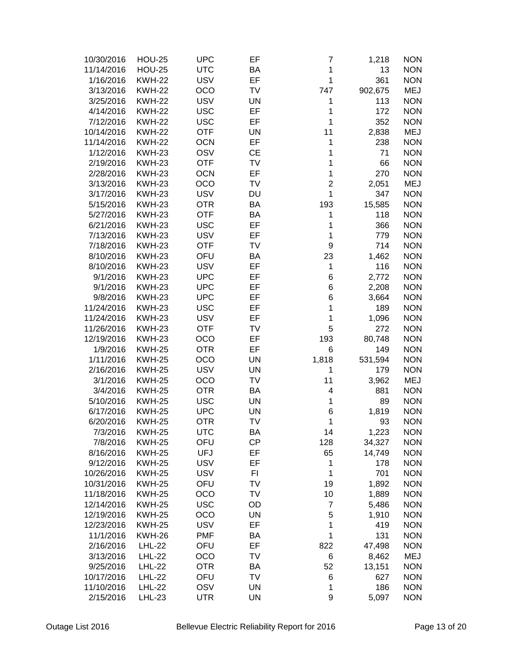| 10/30/2016 | <b>HOU-25</b> | <b>UPC</b> | EF        | 7                | 1,218   | <b>NON</b> |
|------------|---------------|------------|-----------|------------------|---------|------------|
| 11/14/2016 | <b>HOU-25</b> | <b>UTC</b> | BA        | 1                | 13      | <b>NON</b> |
| 1/16/2016  | <b>KWH-22</b> | <b>USV</b> | EF        | 1                | 361     | <b>NON</b> |
| 3/13/2016  | <b>KWH-22</b> | OCO        | <b>TV</b> | 747              | 902,675 | <b>MEJ</b> |
| 3/25/2016  | <b>KWH-22</b> | <b>USV</b> | <b>UN</b> | 1                | 113     | <b>NON</b> |
| 4/14/2016  | <b>KWH-22</b> | <b>USC</b> | EF        | 1                | 172     | <b>NON</b> |
| 7/12/2016  | <b>KWH-22</b> | <b>USC</b> | EF        | 1                | 352     | <b>NON</b> |
| 10/14/2016 | <b>KWH-22</b> | <b>OTF</b> | <b>UN</b> | 11               | 2,838   | <b>MEJ</b> |
| 11/14/2016 | <b>KWH-22</b> | <b>OCN</b> | EF        | 1                | 238     | <b>NON</b> |
| 1/12/2016  | <b>KWH-23</b> | OSV        | <b>CE</b> | 1                | 71      | <b>NON</b> |
| 2/19/2016  | <b>KWH-23</b> | <b>OTF</b> | TV        | 1                | 66      | <b>NON</b> |
| 2/28/2016  | <b>KWH-23</b> | <b>OCN</b> | EF        | 1                | 270     | <b>NON</b> |
| 3/13/2016  | <b>KWH-23</b> | OCO        | TV        | $\overline{c}$   | 2,051   | <b>MEJ</b> |
| 3/17/2016  | <b>KWH-23</b> | <b>USV</b> | DU        | 1                | 347     | <b>NON</b> |
| 5/15/2016  | <b>KWH-23</b> | <b>OTR</b> | BA        | 193              | 15,585  | <b>NON</b> |
| 5/27/2016  | <b>KWH-23</b> | <b>OTF</b> | BA        | 1                | 118     | <b>NON</b> |
| 6/21/2016  | <b>KWH-23</b> | <b>USC</b> | EF        | 1                | 366     | <b>NON</b> |
| 7/13/2016  | <b>KWH-23</b> | <b>USV</b> | EF        | 1                | 779     | <b>NON</b> |
| 7/18/2016  | <b>KWH-23</b> | <b>OTF</b> | <b>TV</b> | 9                | 714     | <b>NON</b> |
| 8/10/2016  | <b>KWH-23</b> | OFU        | BA        | 23               | 1,462   | <b>NON</b> |
| 8/10/2016  | <b>KWH-23</b> | <b>USV</b> | EF        | 1                | 116     | <b>NON</b> |
| 9/1/2016   | <b>KWH-23</b> | <b>UPC</b> | EF        | 6                | 2,772   | <b>NON</b> |
| 9/1/2016   | <b>KWH-23</b> | <b>UPC</b> | EF        | 6                | 2,208   | <b>NON</b> |
| 9/8/2016   | <b>KWH-23</b> | <b>UPC</b> | EF        | 6                | 3,664   | <b>NON</b> |
| 11/24/2016 | <b>KWH-23</b> | <b>USC</b> | EF        | 1                | 189     | <b>NON</b> |
| 11/24/2016 | <b>KWH-23</b> | <b>USV</b> | EF        | 1                | 1,096   | <b>NON</b> |
| 11/26/2016 | <b>KWH-23</b> | <b>OTF</b> | <b>TV</b> | 5                | 272     | <b>NON</b> |
| 12/19/2016 | <b>KWH-23</b> |            | EF        |                  |         | <b>NON</b> |
|            |               | OCO        |           | 193              | 80,748  |            |
| 1/9/2016   | <b>KWH-25</b> | <b>OTR</b> | EF        | 6                | 149     | <b>NON</b> |
| 1/11/2016  | <b>KWH-25</b> | OCO        | <b>UN</b> | 1,818            | 531,594 | <b>NON</b> |
| 2/16/2016  | <b>KWH-25</b> | <b>USV</b> | <b>UN</b> | 1                | 179     | <b>NON</b> |
| 3/1/2016   | <b>KWH-25</b> | OCO        | TV        | 11               | 3,962   | <b>MEJ</b> |
| 3/4/2016   | <b>KWH-25</b> | <b>OTR</b> | BA        | 4                | 881     | <b>NON</b> |
| 5/10/2016  | <b>KWH-25</b> | <b>USC</b> | <b>UN</b> | 1                | 89      | <b>NON</b> |
| 6/17/2016  | <b>KWH-25</b> | <b>UPC</b> | UN        | 6                | 1,819   | <b>NON</b> |
| 6/20/2016  | <b>KWH-25</b> | <b>OTR</b> | TV        | 1                | 93      | <b>NON</b> |
| 7/3/2016   | <b>KWH-25</b> | <b>UTC</b> | ΒA        | 14               | 1,223   | <b>NON</b> |
| 7/8/2016   | <b>KWH-25</b> | OFU        | <b>CP</b> | 128              | 34,327  | <b>NON</b> |
| 8/16/2016  | <b>KWH-25</b> | <b>UFJ</b> | EF        | 65               | 14,749  | <b>NON</b> |
| 9/12/2016  | <b>KWH-25</b> | <b>USV</b> | EF        | 1                | 178     | <b>NON</b> |
| 10/26/2016 | <b>KWH-25</b> | <b>USV</b> | FI        | 1                | 701     | <b>NON</b> |
| 10/31/2016 | <b>KWH-25</b> | OFU        | TV        | 19               | 1,892   | <b>NON</b> |
| 11/18/2016 | <b>KWH-25</b> | OCO        | TV        | 10               | 1,889   | <b>NON</b> |
| 12/14/2016 | <b>KWH-25</b> | <b>USC</b> | OD        | $\boldsymbol{7}$ | 5,486   | <b>NON</b> |
| 12/19/2016 | <b>KWH-25</b> | OCO        | UN        | 5                | 1,910   | <b>NON</b> |
| 12/23/2016 | <b>KWH-25</b> | <b>USV</b> | EF        | 1                | 419     | <b>NON</b> |
| 11/1/2016  | <b>KWH-26</b> | <b>PMF</b> | BA        | 1                | 131     | <b>NON</b> |
| 2/16/2016  | <b>LHL-22</b> | OFU        | EF        | 822              | 47,498  | <b>NON</b> |
| 3/13/2016  | <b>LHL-22</b> | OCO        | <b>TV</b> | 6                | 8,462   | <b>MEJ</b> |
| 9/25/2016  | <b>LHL-22</b> | <b>OTR</b> | BA        | 52               | 13,151  | <b>NON</b> |
| 10/17/2016 | <b>LHL-22</b> | OFU        | <b>TV</b> | 6                | 627     | <b>NON</b> |
| 11/10/2016 | <b>LHL-22</b> | OSV        | UN        | 1                | 186     | <b>NON</b> |
| 2/15/2016  | <b>LHL-23</b> | <b>UTR</b> | UN        | 9                | 5,097   | <b>NON</b> |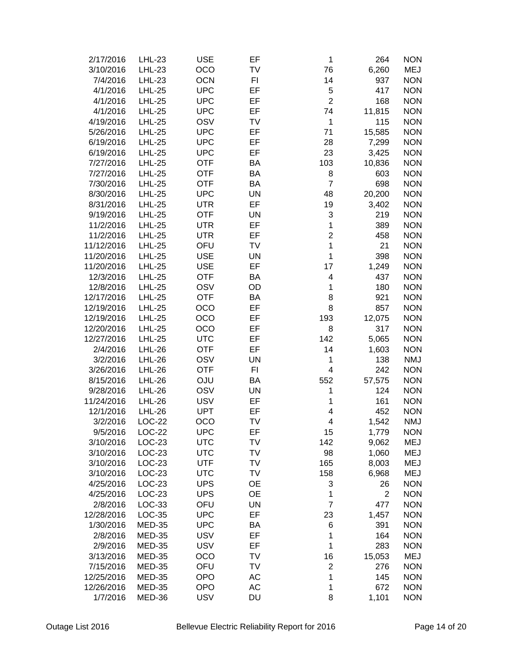| 2/17/2016  | <b>LHL-23</b> | <b>USE</b> | EF        | 1                       | 264            | <b>NON</b> |
|------------|---------------|------------|-----------|-------------------------|----------------|------------|
| 3/10/2016  | <b>LHL-23</b> | OCO        | TV        | 76                      | 6,260          | <b>MEJ</b> |
| 7/4/2016   | <b>LHL-23</b> | <b>OCN</b> | FI        | 14                      | 937            | <b>NON</b> |
| 4/1/2016   | <b>LHL-25</b> | <b>UPC</b> | EF        | 5                       | 417            | <b>NON</b> |
| 4/1/2016   | <b>LHL-25</b> | <b>UPC</b> | EF        | $\overline{2}$          | 168            | <b>NON</b> |
| 4/1/2016   | <b>LHL-25</b> | <b>UPC</b> | EF        | 74                      | 11,815         | <b>NON</b> |
| 4/19/2016  | <b>LHL-25</b> | OSV        | TV        | 1                       | 115            | <b>NON</b> |
| 5/26/2016  | <b>LHL-25</b> | <b>UPC</b> | EF        | 71                      | 15,585         | <b>NON</b> |
| 6/19/2016  | <b>LHL-25</b> | <b>UPC</b> | EF        | 28                      | 7,299          | <b>NON</b> |
| 6/19/2016  | <b>LHL-25</b> | <b>UPC</b> | EF        | 23                      | 3,425          | <b>NON</b> |
| 7/27/2016  | <b>LHL-25</b> | <b>OTF</b> | BA        |                         |                | <b>NON</b> |
|            |               |            |           | 103                     | 10,836         |            |
| 7/27/2016  | <b>LHL-25</b> | <b>OTF</b> | BA        | 8                       | 603            | <b>NON</b> |
| 7/30/2016  | <b>LHL-25</b> | <b>OTF</b> | BA        | $\overline{7}$          | 698            | <b>NON</b> |
| 8/30/2016  | <b>LHL-25</b> | <b>UPC</b> | <b>UN</b> | 48                      | 20,200         | <b>NON</b> |
| 8/31/2016  | <b>LHL-25</b> | <b>UTR</b> | EF        | 19                      | 3,402          | <b>NON</b> |
| 9/19/2016  | <b>LHL-25</b> | <b>OTF</b> | <b>UN</b> | 3                       | 219            | <b>NON</b> |
| 11/2/2016  | <b>LHL-25</b> | <b>UTR</b> | EF        | $\mathbf 1$             | 389            | <b>NON</b> |
| 11/2/2016  | <b>LHL-25</b> | <b>UTR</b> | EF        | $\overline{c}$          | 458            | <b>NON</b> |
| 11/12/2016 | <b>LHL-25</b> | OFU        | TV        | $\mathbf 1$             | 21             | <b>NON</b> |
| 11/20/2016 | <b>LHL-25</b> | <b>USE</b> | <b>UN</b> | $\mathbf 1$             | 398            | <b>NON</b> |
| 11/20/2016 | <b>LHL-25</b> | <b>USE</b> | EF        | 17                      | 1,249          | <b>NON</b> |
| 12/3/2016  | <b>LHL-25</b> | <b>OTF</b> | BA        | 4                       | 437            | <b>NON</b> |
| 12/8/2016  | <b>LHL-25</b> | OSV        | OD        | 1                       | 180            | <b>NON</b> |
| 12/17/2016 | <b>LHL-25</b> | <b>OTF</b> | <b>BA</b> | 8                       | 921            | <b>NON</b> |
| 12/19/2016 | <b>LHL-25</b> | OCO        | EF        | 8                       | 857            | <b>NON</b> |
| 12/19/2016 | <b>LHL-25</b> | OCO        | EF        | 193                     | 12,075         | <b>NON</b> |
| 12/20/2016 | <b>LHL-25</b> | OCO        | EF        | 8                       | 317            | <b>NON</b> |
| 12/27/2016 | <b>LHL-25</b> | <b>UTC</b> | EF        | 142                     | 5,065          | <b>NON</b> |
| 2/4/2016   | <b>LHL-26</b> | <b>OTF</b> | EF        | 14                      | 1,603          | <b>NON</b> |
| 3/2/2016   | <b>LHL-26</b> | OSV        | <b>UN</b> | 1                       | 138            | <b>NMJ</b> |
| 3/26/2016  | <b>LHL-26</b> | <b>OTF</b> | FI        | $\overline{\mathbf{4}}$ | 242            | <b>NON</b> |
| 8/15/2016  | <b>LHL-26</b> | OJU        | BA        | 552                     | 57,575         | <b>NON</b> |
| 9/28/2016  | <b>LHL-26</b> | OSV        | <b>UN</b> | 1                       | 124            | <b>NON</b> |
| 11/24/2016 | <b>LHL-26</b> | <b>USV</b> | EF        | 1                       | 161            | <b>NON</b> |
| 12/1/2016  | <b>LHL-26</b> | <b>UPT</b> | EF        | 4                       | 452            | <b>NON</b> |
| 3/2/2016   | LOC-22        | OCO        | TV        | 4                       | 1,542          | <b>NMJ</b> |
| 9/5/2016   | <b>LOC-22</b> | <b>UPC</b> | EF        | 15                      | 1,779          | <b>NON</b> |
| 3/10/2016  | <b>LOC-23</b> | <b>UTC</b> | TV        | 142                     | 9,062          | <b>MEJ</b> |
| 3/10/2016  | LOC-23        | <b>UTC</b> | TV        | 98                      | 1,060          | <b>MEJ</b> |
| 3/10/2016  | LOC-23        | <b>UTF</b> | TV        | 165                     | 8,003          | <b>MEJ</b> |
| 3/10/2016  | $LOC-23$      | <b>UTC</b> | TV        | 158                     | 6,968          | <b>MEJ</b> |
| 4/25/2016  | LOC-23        | <b>UPS</b> | <b>OE</b> | 3                       | 26             | <b>NON</b> |
| 4/25/2016  | LOC-23        | <b>UPS</b> | <b>OE</b> | 1                       | $\overline{2}$ | <b>NON</b> |
| 2/8/2016   | LOC-33        | OFU        | <b>UN</b> | $\overline{7}$          | 477            | <b>NON</b> |
| 12/28/2016 | LOC-35        | <b>UPC</b> | EF        | 23                      | 1,457          | <b>NON</b> |
| 1/30/2016  | <b>MED-35</b> | <b>UPC</b> | BA        | 6                       | 391            | <b>NON</b> |
| 2/8/2016   | <b>MED-35</b> | <b>USV</b> | EF        | 1                       | 164            | <b>NON</b> |
| 2/9/2016   | <b>MED-35</b> | <b>USV</b> | EF        | 1                       | 283            | <b>NON</b> |
| 3/13/2016  | <b>MED-35</b> | OCO        | TV        | 16                      | 15,053         | <b>MEJ</b> |
| 7/15/2016  | <b>MED-35</b> | OFU        | TV        | $\overline{\mathbf{c}}$ | 276            | <b>NON</b> |
| 12/25/2016 | <b>MED-35</b> | <b>OPO</b> | AC        | $\mathbf 1$             | 145            | <b>NON</b> |
| 12/26/2016 | <b>MED-35</b> | <b>OPO</b> | AC        | 1                       | 672            | <b>NON</b> |
|            |               |            |           | 8                       |                |            |
| 1/7/2016   | MED-36        | <b>USV</b> | <b>DU</b> |                         | 1,101          | <b>NON</b> |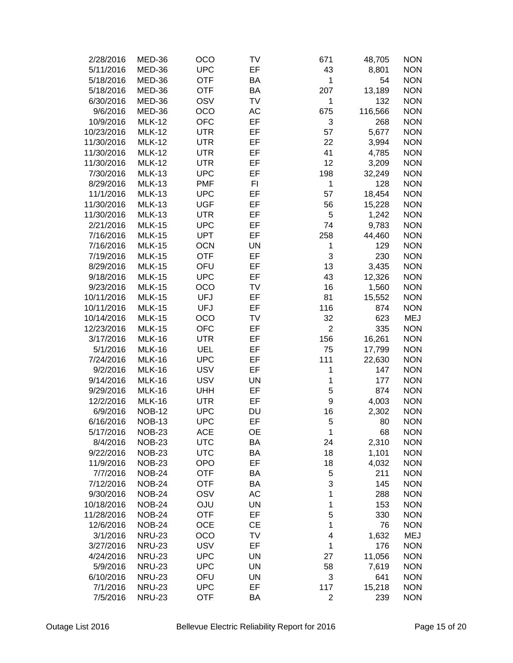| 2/28/2016  | MED-36        | OCO        | TV        | 671            | 48,705  | <b>NON</b> |
|------------|---------------|------------|-----------|----------------|---------|------------|
| 5/11/2016  | MED-36        | <b>UPC</b> | EF        | 43             | 8,801   | <b>NON</b> |
| 5/18/2016  | MED-36        | <b>OTF</b> | BA        | 1              | 54      | <b>NON</b> |
| 5/18/2016  | MED-36        | <b>OTF</b> | BA        | 207            | 13,189  | <b>NON</b> |
| 6/30/2016  | MED-36        | OSV        | <b>TV</b> | 1              | 132     | <b>NON</b> |
| 9/6/2016   | MED-36        | OCO        | AC        | 675            | 116,566 | <b>NON</b> |
| 10/9/2016  | <b>MLK-12</b> | <b>OFC</b> | EF        | 3              | 268     | <b>NON</b> |
| 10/23/2016 | <b>MLK-12</b> | <b>UTR</b> | EF        | 57             | 5,677   | <b>NON</b> |
| 11/30/2016 | <b>MLK-12</b> | <b>UTR</b> | EF        | 22             | 3,994   | <b>NON</b> |
| 11/30/2016 | <b>MLK-12</b> | <b>UTR</b> | EF        | 41             | 4,785   | <b>NON</b> |
|            |               |            |           |                |         |            |
| 11/30/2016 | <b>MLK-12</b> | <b>UTR</b> | EF        | 12             | 3,209   | <b>NON</b> |
| 7/30/2016  | <b>MLK-13</b> | <b>UPC</b> | EF        | 198            | 32,249  | <b>NON</b> |
| 8/29/2016  | <b>MLK-13</b> | <b>PMF</b> | FI        | 1              | 128     | <b>NON</b> |
| 11/1/2016  | <b>MLK-13</b> | <b>UPC</b> | EF        | 57             | 18,454  | <b>NON</b> |
| 11/30/2016 | <b>MLK-13</b> | <b>UGF</b> | EF        | 56             | 15,228  | <b>NON</b> |
| 11/30/2016 | <b>MLK-13</b> | <b>UTR</b> | EF        | 5              | 1,242   | <b>NON</b> |
| 2/21/2016  | <b>MLK-15</b> | <b>UPC</b> | EF        | 74             | 9,783   | <b>NON</b> |
| 7/16/2016  | <b>MLK-15</b> | <b>UPT</b> | EF        | 258            | 44,460  | <b>NON</b> |
| 7/16/2016  | <b>MLK-15</b> | <b>OCN</b> | <b>UN</b> | 1              | 129     | <b>NON</b> |
| 7/19/2016  | <b>MLK-15</b> | <b>OTF</b> | EF        | 3              | 230     | <b>NON</b> |
| 8/29/2016  | <b>MLK-15</b> | OFU        | EF        | 13             | 3,435   | <b>NON</b> |
|            |               |            |           |                |         |            |
| 9/18/2016  | <b>MLK-15</b> | <b>UPC</b> | EF        | 43             | 12,326  | <b>NON</b> |
| 9/23/2016  | <b>MLK-15</b> | OCO        | <b>TV</b> | 16             | 1,560   | <b>NON</b> |
| 10/11/2016 | <b>MLK-15</b> | <b>UFJ</b> | EF        | 81             | 15,552  | <b>NON</b> |
| 10/11/2016 | <b>MLK-15</b> | <b>UFJ</b> | EF        | 116            | 874     | <b>NON</b> |
| 10/14/2016 | <b>MLK-15</b> | OCO        | <b>TV</b> | 32             | 623     | <b>MEJ</b> |
| 12/23/2016 | <b>MLK-15</b> | <b>OFC</b> | EF        | $\overline{2}$ | 335     | <b>NON</b> |
| 3/17/2016  | <b>MLK-16</b> | <b>UTR</b> | EF        | 156            | 16,261  | <b>NON</b> |
| 5/1/2016   | <b>MLK-16</b> | UEL        | EF        | 75             | 17,799  | <b>NON</b> |
| 7/24/2016  | <b>MLK-16</b> | <b>UPC</b> | EF        | 111            | 22,630  | <b>NON</b> |
| 9/2/2016   | <b>MLK-16</b> | <b>USV</b> | EF        | 1              | 147     | <b>NON</b> |
| 9/14/2016  | <b>MLK-16</b> | <b>USV</b> | <b>UN</b> | 1              | 177     | <b>NON</b> |
| 9/29/2016  | <b>MLK-16</b> | <b>UHH</b> | EF        | 5              | 874     | <b>NON</b> |
|            |               | <b>UTR</b> | EF        | 9              | 4,003   | <b>NON</b> |
| 12/2/2016  | <b>MLK-16</b> |            |           |                |         |            |
| 6/9/2016   | <b>NOB-12</b> | <b>UPC</b> | DU        | 16             | 2,302   | <b>NON</b> |
| 6/16/2016  | <b>NOB-13</b> | <b>UPC</b> | EF        | 5              | 80      | <b>NON</b> |
| 5/17/2016  | <b>NOB-23</b> | <b>ACE</b> | <b>OE</b> | 1              | 68      | <b>NON</b> |
| 8/4/2016   | <b>NOB-23</b> | <b>UTC</b> | BA        | 24             | 2,310   | <b>NON</b> |
| 9/22/2016  | <b>NOB-23</b> | <b>UTC</b> | BA        | 18             | 1,101   | <b>NON</b> |
| 11/9/2016  | <b>NOB-23</b> | <b>OPO</b> | EF        | 18             | 4,032   | <b>NON</b> |
| 7/7/2016   | <b>NOB-24</b> | <b>OTF</b> | BA        | 5              | 211     | <b>NON</b> |
| 7/12/2016  | <b>NOB-24</b> | <b>OTF</b> | BA        | 3              | 145     | <b>NON</b> |
| 9/30/2016  | <b>NOB-24</b> | OSV        | AC        | 1              | 288     | <b>NON</b> |
| 10/18/2016 | <b>NOB-24</b> | OJU        | <b>UN</b> | 1              | 153     | <b>NON</b> |
| 11/28/2016 | <b>NOB-24</b> | <b>OTF</b> | EF        | 5              | 330     | <b>NON</b> |
| 12/6/2016  | <b>NOB-24</b> | <b>OCE</b> | <b>CE</b> | 1              | 76      | <b>NON</b> |
| 3/1/2016   | <b>NRU-23</b> | OCO        | TV        | 4              | 1,632   | MEJ        |
|            |               |            |           |                |         |            |
| 3/27/2016  | <b>NRU-23</b> | <b>USV</b> | EF        | 1              | 176     | <b>NON</b> |
| 4/24/2016  | <b>NRU-23</b> | <b>UPC</b> | <b>UN</b> | 27             | 11,056  | <b>NON</b> |
| 5/9/2016   | <b>NRU-23</b> | <b>UPC</b> | <b>UN</b> | 58             | 7,619   | <b>NON</b> |
| 6/10/2016  | <b>NRU-23</b> | OFU        | <b>UN</b> | 3              | 641     | <b>NON</b> |
| 7/1/2016   | <b>NRU-23</b> | <b>UPC</b> | EF        | 117            | 15,218  | <b>NON</b> |
| 7/5/2016   | <b>NRU-23</b> | <b>OTF</b> | BA        | 2              | 239     | <b>NON</b> |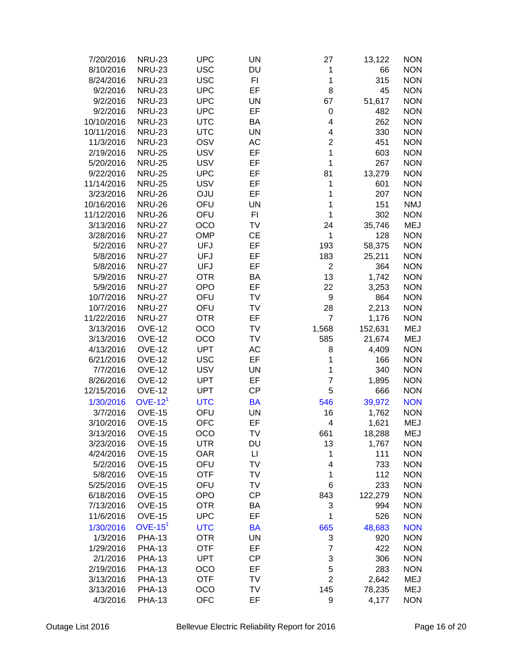| 7/20/2016  | <b>NRU-23</b> | <b>UPC</b> | <b>UN</b> | 27             | 13,122  | <b>NON</b> |
|------------|---------------|------------|-----------|----------------|---------|------------|
| 8/10/2016  | <b>NRU-23</b> | <b>USC</b> | DU        | 1              | 66      | <b>NON</b> |
| 8/24/2016  | <b>NRU-23</b> | <b>USC</b> | FI        | 1              | 315     | <b>NON</b> |
| 9/2/2016   | <b>NRU-23</b> | <b>UPC</b> | EF        | 8              | 45      | <b>NON</b> |
| 9/2/2016   | <b>NRU-23</b> | <b>UPC</b> | <b>UN</b> | 67             | 51,617  | <b>NON</b> |
| 9/2/2016   | <b>NRU-23</b> | <b>UPC</b> | EF        | 0              | 482     | <b>NON</b> |
| 10/10/2016 | <b>NRU-23</b> | <b>UTC</b> | <b>BA</b> | 4              | 262     | <b>NON</b> |
| 10/11/2016 | <b>NRU-23</b> | <b>UTC</b> | <b>UN</b> | 4              | 330     | <b>NON</b> |
| 11/3/2016  | <b>NRU-23</b> | OSV        | AC        | $\overline{2}$ | 451     | <b>NON</b> |
| 2/19/2016  | <b>NRU-25</b> | <b>USV</b> | EF        | 1              | 603     | <b>NON</b> |
|            |               |            | EF        | 1              | 267     | <b>NON</b> |
| 5/20/2016  | <b>NRU-25</b> | <b>USV</b> |           |                |         |            |
| 9/22/2016  | <b>NRU-25</b> | <b>UPC</b> | EF        | 81             | 13,279  | <b>NON</b> |
| 11/14/2016 | <b>NRU-25</b> | <b>USV</b> | EF        | 1              | 601     | <b>NON</b> |
| 3/23/2016  | <b>NRU-26</b> | <b>OJU</b> | EF        | 1              | 207     | <b>NON</b> |
| 10/16/2016 | <b>NRU-26</b> | OFU        | <b>UN</b> | 1              | 151     | <b>NMJ</b> |
| 11/12/2016 | <b>NRU-26</b> | OFU        | FI        | 1              | 302     | <b>NON</b> |
| 3/13/2016  | <b>NRU-27</b> | OCO        | <b>TV</b> | 24             | 35,746  | <b>MEJ</b> |
| 3/28/2016  | <b>NRU-27</b> | <b>OMP</b> | <b>CE</b> | 1              | 128     | <b>NON</b> |
| 5/2/2016   | <b>NRU-27</b> | UFJ        | EF        | 193            | 58,375  | <b>NON</b> |
| 5/8/2016   | <b>NRU-27</b> | UFJ        | EF        | 183            | 25,211  | <b>NON</b> |
| 5/8/2016   | <b>NRU-27</b> | <b>UFJ</b> | EF        | $\overline{2}$ | 364     | <b>NON</b> |
| 5/9/2016   | <b>NRU-27</b> | <b>OTR</b> | BA        | 13             | 1,742   | <b>NON</b> |
| 5/9/2016   | <b>NRU-27</b> | <b>OPO</b> | EF        | 22             | 3,253   | <b>NON</b> |
| 10/7/2016  | <b>NRU-27</b> | OFU        | TV        | 9              | 864     | <b>NON</b> |
| 10/7/2016  | <b>NRU-27</b> | OFU        | <b>TV</b> | 28             | 2,213   | <b>NON</b> |
| 11/22/2016 | <b>NRU-27</b> | <b>OTR</b> | EF        | $\overline{7}$ | 1,176   | <b>NON</b> |
| 3/13/2016  | <b>OVE-12</b> | OCO        | <b>TV</b> | 1,568          | 152,631 | <b>MEJ</b> |
| 3/13/2016  | <b>OVE-12</b> | OCO        | <b>TV</b> | 585            | 21,674  | <b>MEJ</b> |
| 4/13/2016  | <b>OVE-12</b> | <b>UPT</b> | AC        | 8              | 4,409   | <b>NON</b> |
| 6/21/2016  | <b>OVE-12</b> | <b>USC</b> | EF        | 1              | 166     | <b>NON</b> |
| 7/7/2016   | <b>OVE-12</b> | <b>USV</b> | <b>UN</b> | 1              | 340     | <b>NON</b> |
| 8/26/2016  | <b>OVE-12</b> | <b>UPT</b> | EF        | $\overline{7}$ | 1,895   | <b>NON</b> |
| 12/15/2016 | <b>OVE-12</b> | <b>UPT</b> | <b>CP</b> | 5              | 666     | <b>NON</b> |
| 1/30/2016  | $OVE-121$     | <b>UTC</b> | <b>BA</b> | 546            | 39,972  | <b>NON</b> |
| 3/7/2016   | <b>OVE-15</b> | OFU        | <b>UN</b> | 16             | 1,762   | <b>NON</b> |
| 3/10/2016  | <b>OVE-15</b> | <b>OFC</b> | EF        | 4              | 1,621   | MEJ        |
| 3/13/2016  | <b>OVE-15</b> | OCO        | TV        | 661            | 18,288  | <b>MEJ</b> |
| 3/23/2016  | <b>OVE-15</b> | <b>UTR</b> | DU        | 13             | 1,767   | <b>NON</b> |
| 4/24/2016  | <b>OVE-15</b> | <b>OAR</b> | $\sqcup$  | 1              | 111     | <b>NON</b> |
| 5/2/2016   | <b>OVE-15</b> | OFU        | <b>TV</b> | 4              | 733     | <b>NON</b> |
| 5/8/2016   | <b>OVE-15</b> | <b>OTF</b> | <b>TV</b> | 1              | 112     | <b>NON</b> |
| 5/25/2016  | <b>OVE-15</b> | OFU        | <b>TV</b> | 6              | 233     | <b>NON</b> |
| 6/18/2016  | <b>OVE-15</b> | <b>OPO</b> | CP        | 843            | 122,279 | <b>NON</b> |
| 7/13/2016  | <b>OVE-15</b> | <b>OTR</b> | BA        | 3              | 994     | <b>NON</b> |
|            | <b>OVE-15</b> | <b>UPC</b> | EF        | 1              | 526     | <b>NON</b> |
| 11/6/2016  |               |            |           |                |         |            |
| 1/30/2016  | $OVE-151$     | <b>UTC</b> | <b>BA</b> | 665            | 48,683  | <b>NON</b> |
| 1/3/2016   | <b>PHA-13</b> | <b>OTR</b> | <b>UN</b> | 3              | 920     | <b>NON</b> |
| 1/29/2016  | <b>PHA-13</b> | <b>OTF</b> | EF        | $\overline{7}$ | 422     | <b>NON</b> |
| 2/1/2016   | <b>PHA-13</b> | <b>UPT</b> | <b>CP</b> | 3              | 306     | <b>NON</b> |
| 2/19/2016  | <b>PHA-13</b> | OCO        | EF        | 5              | 283     | <b>NON</b> |
| 3/13/2016  | <b>PHA-13</b> | <b>OTF</b> | TV        | $\overline{c}$ | 2,642   | <b>MEJ</b> |
| 3/13/2016  | <b>PHA-13</b> | OCO        | TV        | 145            | 78,235  | <b>MEJ</b> |
| 4/3/2016   | <b>PHA-13</b> | <b>OFC</b> | EF        | 9              | 4,177   | <b>NON</b> |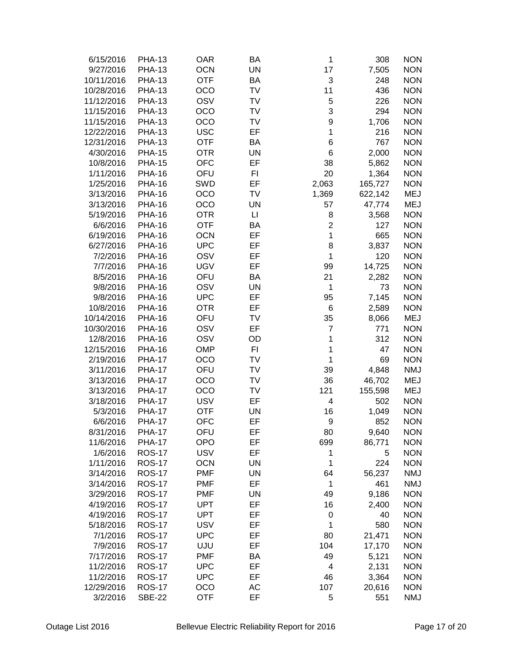| 6/15/2016  | <b>PHA-13</b> | <b>OAR</b> | BA        | 1              | 308     | <b>NON</b> |
|------------|---------------|------------|-----------|----------------|---------|------------|
|            |               |            | <b>UN</b> | 17             |         |            |
| 9/27/2016  | <b>PHA-13</b> | <b>OCN</b> |           |                | 7,505   | <b>NON</b> |
| 10/11/2016 | <b>PHA-13</b> | <b>OTF</b> | BA        | 3              | 248     | <b>NON</b> |
| 10/28/2016 | <b>PHA-13</b> | OCO        | TV        | 11             | 436     | <b>NON</b> |
| 11/12/2016 | <b>PHA-13</b> | OSV        | <b>TV</b> | 5              | 226     | <b>NON</b> |
| 11/15/2016 | <b>PHA-13</b> | OCO        | <b>TV</b> | 3              | 294     | <b>NON</b> |
| 11/15/2016 | <b>PHA-13</b> | OCO        | TV        | 9              | 1,706   | <b>NON</b> |
| 12/22/2016 | <b>PHA-13</b> | <b>USC</b> | EF        | 1              | 216     | <b>NON</b> |
| 12/31/2016 | <b>PHA-13</b> | <b>OTF</b> | BA        | 6              | 767     | <b>NON</b> |
| 4/30/2016  | <b>PHA-15</b> | <b>OTR</b> | UN        | 6              | 2,000   | <b>NON</b> |
| 10/8/2016  | <b>PHA-15</b> | <b>OFC</b> | EF        | 38             | 5,862   | <b>NON</b> |
| 1/11/2016  | <b>PHA-16</b> | OFU        | FI        | 20             | 1,364   | <b>NON</b> |
| 1/25/2016  | <b>PHA-16</b> | SWD        | EF        | 2,063          | 165,727 | <b>NON</b> |
| 3/13/2016  | <b>PHA-16</b> | OCO        | <b>TV</b> | 1,369          | 622,142 | <b>MEJ</b> |
| 3/13/2016  | <b>PHA-16</b> | OCO        | <b>UN</b> | 57             | 47,774  | <b>MEJ</b> |
| 5/19/2016  | <b>PHA-16</b> | <b>OTR</b> | LI        | 8              | 3,568   | <b>NON</b> |
| 6/6/2016   | <b>PHA-16</b> | <b>OTF</b> | BA        | $\overline{2}$ | 127     | <b>NON</b> |
| 6/19/2016  | <b>PHA-16</b> | <b>OCN</b> | EF        | 1              | 665     | <b>NON</b> |
| 6/27/2016  | <b>PHA-16</b> | <b>UPC</b> | EF        | 8              | 3,837   | <b>NON</b> |
| 7/2/2016   | <b>PHA-16</b> | OSV        | EF        | 1              | 120     | <b>NON</b> |
| 7/7/2016   | <b>PHA-16</b> | <b>UGV</b> | EF        | 99             | 14,725  | <b>NON</b> |
| 8/5/2016   | <b>PHA-16</b> | OFU        | BA        | 21             | 2,282   | <b>NON</b> |
| 9/8/2016   | <b>PHA-16</b> | OSV        | <b>UN</b> | 1              | 73      | <b>NON</b> |
| 9/8/2016   | <b>PHA-16</b> | <b>UPC</b> | EF        | 95             | 7,145   | <b>NON</b> |
| 10/8/2016  | <b>PHA-16</b> | <b>OTR</b> | EF        | 6              | 2,589   | <b>NON</b> |
| 10/14/2016 | <b>PHA-16</b> | OFU        | TV        | 35             |         | <b>MEJ</b> |
|            |               | OSV        | EF        | $\overline{7}$ | 8,066   | <b>NON</b> |
| 10/30/2016 | <b>PHA-16</b> |            |           |                | 771     |            |
| 12/8/2016  | <b>PHA-16</b> | OSV        | OD        | 1              | 312     | <b>NON</b> |
| 12/15/2016 | <b>PHA-16</b> | <b>OMP</b> | FI        | 1              | 47      | <b>NON</b> |
| 2/19/2016  | <b>PHA-17</b> | OCO        | TV        | 1              | 69      | <b>NON</b> |
| 3/11/2016  | <b>PHA-17</b> | OFU        | TV        | 39             | 4,848   | <b>NMJ</b> |
| 3/13/2016  | <b>PHA-17</b> | OCO        | TV        | 36             | 46,702  | <b>MEJ</b> |
| 3/13/2016  | <b>PHA-17</b> | OCO        | TV        | 121            | 155,598 | <b>MEJ</b> |
| 3/18/2016  | <b>PHA-17</b> | <b>USV</b> | EF        | 4              | 502     | <b>NON</b> |
| 5/3/2016   | <b>PHA-17</b> | <b>OTF</b> | <b>UN</b> | 16             | 1,049   | <b>NON</b> |
| 6/6/2016   | <b>PHA-17</b> | <b>OFC</b> | EF        | 9              | 852     | <b>NON</b> |
| 8/31/2016  | <b>PHA-17</b> | OFU        | ЕF        | 80             | 9,640   | <b>NON</b> |
| 11/6/2016  | <b>PHA-17</b> | <b>OPO</b> | EF        | 699            | 86,771  | <b>NON</b> |
| 1/6/2016   | <b>ROS-17</b> | <b>USV</b> | EF        | 1              | 5       | <b>NON</b> |
| 1/11/2016  | <b>ROS-17</b> | <b>OCN</b> | UN        | 1              | 224     | <b>NON</b> |
| 3/14/2016  | <b>ROS-17</b> | <b>PMF</b> | UN        | 64             | 56,237  | <b>NMJ</b> |
| 3/14/2016  | <b>ROS-17</b> | <b>PMF</b> | EF        | 1              | 461     | <b>NMJ</b> |
| 3/29/2016  | <b>ROS-17</b> | <b>PMF</b> | UN        | 49             | 9,186   | <b>NON</b> |
| 4/19/2016  | <b>ROS-17</b> | <b>UPT</b> | EF        | 16             | 2,400   | <b>NON</b> |
| 4/19/2016  | <b>ROS-17</b> | <b>UPT</b> | EF        | 0              | 40      | <b>NON</b> |
| 5/18/2016  | <b>ROS-17</b> | <b>USV</b> | EF        | 1              | 580     | <b>NON</b> |
| 7/1/2016   | <b>ROS-17</b> | <b>UPC</b> | EF        | 80             | 21,471  | <b>NON</b> |
| 7/9/2016   | <b>ROS-17</b> | UJU        | EF        | 104            | 17,170  | <b>NON</b> |
| 7/17/2016  | <b>ROS-17</b> | <b>PMF</b> | BA        | 49             | 5,121   | <b>NON</b> |
| 11/2/2016  | <b>ROS-17</b> | <b>UPC</b> | EF        | 4              | 2,131   | <b>NON</b> |
| 11/2/2016  | <b>ROS-17</b> | <b>UPC</b> | EF        | 46             | 3,364   | <b>NON</b> |
| 12/29/2016 | <b>ROS-17</b> | OCO        | AC        | 107            | 20,616  | <b>NON</b> |
| 3/2/2016   | <b>SBE-22</b> | <b>OTF</b> | EF        | 5              | 551     | <b>NMJ</b> |
|            |               |            |           |                |         |            |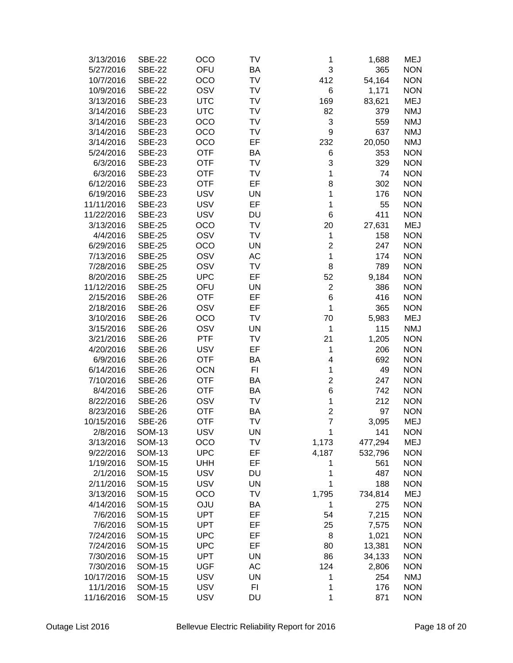| 3/13/2016  | <b>SBE-22</b> | OCO        | TV             | 1                | 1,688   | <b>MEJ</b> |
|------------|---------------|------------|----------------|------------------|---------|------------|
| 5/27/2016  | <b>SBE-22</b> | OFU        | BA             | 3                | 365     | <b>NON</b> |
| 10/7/2016  | <b>SBE-22</b> | OCO        | TV             | 412              | 54,164  | <b>NON</b> |
| 10/9/2016  | <b>SBE-22</b> | OSV        | TV             | 6                | 1,171   | <b>NON</b> |
| 3/13/2016  | <b>SBE-23</b> | <b>UTC</b> | TV             | 169              | 83,621  | <b>MEJ</b> |
| 3/14/2016  | <b>SBE-23</b> | <b>UTC</b> | TV             | 82               | 379     | <b>NMJ</b> |
| 3/14/2016  | <b>SBE-23</b> | OCO        | TV             | 3                | 559     | <b>NMJ</b> |
| 3/14/2016  | <b>SBE-23</b> | OCO        | TV             | 9                | 637     | <b>NMJ</b> |
| 3/14/2016  | <b>SBE-23</b> | OCO        | EF             | 232              | 20,050  | <b>NMJ</b> |
| 5/24/2016  | <b>SBE-23</b> | <b>OTF</b> | BA             | 6                | 353     | <b>NON</b> |
| 6/3/2016   | <b>SBE-23</b> | <b>OTF</b> | TV             | 3                | 329     | <b>NON</b> |
| 6/3/2016   | <b>SBE-23</b> | <b>OTF</b> | TV             | 1                | 74      | <b>NON</b> |
| 6/12/2016  | <b>SBE-23</b> | <b>OTF</b> | EF             | 8                | 302     | <b>NON</b> |
| 6/19/2016  | <b>SBE-23</b> | <b>USV</b> | <b>UN</b>      | 1                | 176     | <b>NON</b> |
| 11/11/2016 | <b>SBE-23</b> | <b>USV</b> | EF             | 1                | 55      | <b>NON</b> |
| 11/22/2016 | <b>SBE-23</b> | <b>USV</b> | DU             | $6\phantom{1}6$  | 411     | <b>NON</b> |
| 3/13/2016  | <b>SBE-25</b> | OCO        | TV             | 20               | 27,631  | <b>MEJ</b> |
| 4/4/2016   | <b>SBE-25</b> | OSV        | TV             | 1                | 158     | <b>NON</b> |
| 6/29/2016  | <b>SBE-25</b> | OCO        | <b>UN</b>      | $\overline{c}$   | 247     | <b>NON</b> |
| 7/13/2016  | <b>SBE-25</b> | OSV        | AC             | 1                | 174     | <b>NON</b> |
| 7/28/2016  | <b>SBE-25</b> | OSV        | TV             | 8                | 789     | <b>NON</b> |
| 8/20/2016  | <b>SBE-25</b> | <b>UPC</b> | EF             | 52               | 9,184   | <b>NON</b> |
| 11/12/2016 | <b>SBE-25</b> | OFU        | <b>UN</b>      | $\boldsymbol{2}$ | 386     | <b>NON</b> |
| 2/15/2016  | <b>SBE-26</b> | <b>OTF</b> | EF             | 6                | 416     | <b>NON</b> |
| 2/18/2016  | <b>SBE-26</b> | OSV        | EF             | 1                | 365     | <b>NON</b> |
| 3/10/2016  | <b>SBE-26</b> | OCO        | TV             | 70               | 5,983   | <b>MEJ</b> |
| 3/15/2016  | <b>SBE-26</b> | OSV        | <b>UN</b>      | 1                | 115     | <b>NMJ</b> |
| 3/21/2016  | <b>SBE-26</b> | PTF        | TV             | 21               | 1,205   | <b>NON</b> |
| 4/20/2016  | <b>SBE-26</b> | <b>USV</b> | EF             | 1                | 206     | <b>NON</b> |
| 6/9/2016   | <b>SBE-26</b> | <b>OTF</b> | <b>BA</b>      | 4                | 692     | <b>NON</b> |
| 6/14/2016  | <b>SBE-26</b> | <b>OCN</b> | F <sub>1</sub> | 1                | 49      | <b>NON</b> |
| 7/10/2016  | <b>SBE-26</b> | <b>OTF</b> | BA             | $\overline{2}$   | 247     | <b>NON</b> |
| 8/4/2016   | <b>SBE-26</b> | <b>OTF</b> | <b>BA</b>      | 6                | 742     | <b>NON</b> |
| 8/22/2016  | <b>SBE-26</b> | OSV        | TV             | 1                | 212     | <b>NON</b> |
| 8/23/2016  | <b>SBE-26</b> | <b>OTF</b> | BA             | $\overline{c}$   | 97      | <b>NON</b> |
| 10/15/2016 | <b>SBE-26</b> | <b>OTF</b> | TV             | $\overline{7}$   | 3,095   | MEJ        |
| 2/8/2016   | <b>SOM-13</b> | <b>USV</b> | UN             | 1                | 141     | <b>NON</b> |
| 3/13/2016  | <b>SOM-13</b> | OCO        | TV             | 1,173            | 477,294 | <b>MEJ</b> |
| 9/22/2016  | <b>SOM-13</b> | <b>UPC</b> | EF             | 4,187            | 532,796 | <b>NON</b> |
| 1/19/2016  | <b>SOM-15</b> | <b>UHH</b> | EF             | 1                | 561     | <b>NON</b> |
| 2/1/2016   | <b>SOM-15</b> | <b>USV</b> | DU             | 1                | 487     | <b>NON</b> |
| 2/11/2016  | <b>SOM-15</b> | <b>USV</b> | <b>UN</b>      | 1                | 188     | <b>NON</b> |
| 3/13/2016  | <b>SOM-15</b> | OCO        | TV             | 1,795            | 734,814 | <b>MEJ</b> |
| 4/14/2016  | <b>SOM-15</b> | <b>OJU</b> | BA             | 1                | 275     | <b>NON</b> |
| 7/6/2016   | <b>SOM-15</b> | <b>UPT</b> | EF             | 54               | 7,215   | <b>NON</b> |
| 7/6/2016   | <b>SOM-15</b> | <b>UPT</b> | EF             | 25               | 7,575   | <b>NON</b> |
| 7/24/2016  | <b>SOM-15</b> | <b>UPC</b> | EF             | 8                | 1,021   | <b>NON</b> |
| 7/24/2016  | <b>SOM-15</b> | <b>UPC</b> | EF             | 80               | 13,381  | <b>NON</b> |
| 7/30/2016  | <b>SOM-15</b> | <b>UPT</b> | <b>UN</b>      | 86               | 34,133  | <b>NON</b> |
| 7/30/2016  | <b>SOM-15</b> | <b>UGF</b> | AC             | 124              | 2,806   | <b>NON</b> |
| 10/17/2016 | <b>SOM-15</b> | <b>USV</b> | UN             |                  | 254     | <b>NMJ</b> |
| 11/1/2016  | <b>SOM-15</b> | <b>USV</b> | FI             | 1<br>1           | 176     | <b>NON</b> |
|            |               |            |                |                  |         |            |
| 11/16/2016 | <b>SOM-15</b> | <b>USV</b> | DU             | 1                | 871     | <b>NON</b> |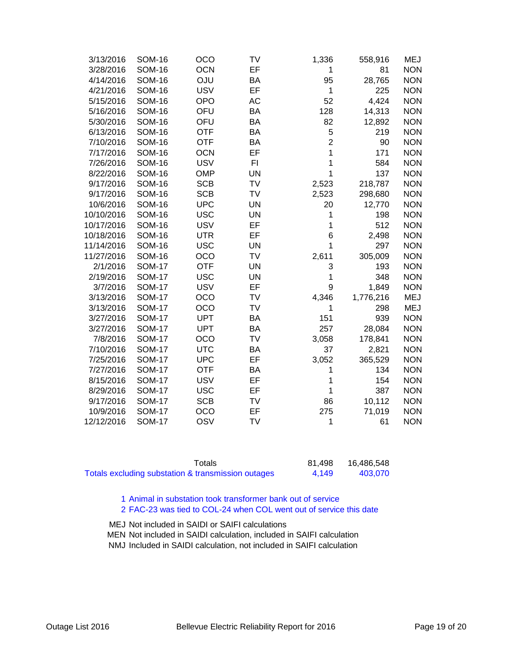| 3/13/2016  | <b>SOM-16</b> | OCO        | <b>TV</b> | 1,336          | 558,916   | <b>MEJ</b> |
|------------|---------------|------------|-----------|----------------|-----------|------------|
| 3/28/2016  | <b>SOM-16</b> | <b>OCN</b> | EF        | 1              | 81        | <b>NON</b> |
| 4/14/2016  | <b>SOM-16</b> | <b>OJU</b> | BA        | 95             | 28,765    | <b>NON</b> |
| 4/21/2016  | <b>SOM-16</b> | <b>USV</b> | EF        | 1              | 225       | <b>NON</b> |
| 5/15/2016  | <b>SOM-16</b> | <b>OPO</b> | <b>AC</b> | 52             | 4,424     | <b>NON</b> |
| 5/16/2016  | <b>SOM-16</b> | OFU        | BA        | 128            | 14,313    | <b>NON</b> |
| 5/30/2016  | <b>SOM-16</b> | OFU        | BA        | 82             | 12,892    | <b>NON</b> |
| 6/13/2016  | <b>SOM-16</b> | <b>OTF</b> | BA        | 5              | 219       | <b>NON</b> |
| 7/10/2016  | <b>SOM-16</b> | <b>OTF</b> | <b>BA</b> | $\overline{2}$ | 90        | <b>NON</b> |
| 7/17/2016  | <b>SOM-16</b> | <b>OCN</b> | EF        | 1              | 171       | <b>NON</b> |
| 7/26/2016  | <b>SOM-16</b> | <b>USV</b> | F1        | 1              | 584       | <b>NON</b> |
| 8/22/2016  | <b>SOM-16</b> | <b>OMP</b> | <b>UN</b> | 1              | 137       | <b>NON</b> |
| 9/17/2016  | <b>SOM-16</b> | <b>SCB</b> | TV        | 2,523          | 218,787   | <b>NON</b> |
| 9/17/2016  | <b>SOM-16</b> | <b>SCB</b> | TV        | 2,523          | 298,680   | <b>NON</b> |
| 10/6/2016  | <b>SOM-16</b> | <b>UPC</b> | <b>UN</b> | 20             | 12,770    | <b>NON</b> |
| 10/10/2016 | <b>SOM-16</b> | <b>USC</b> | <b>UN</b> | 1              | 198       | <b>NON</b> |
| 10/17/2016 | <b>SOM-16</b> | <b>USV</b> | EF        | 1              | 512       | <b>NON</b> |
| 10/18/2016 | <b>SOM-16</b> | <b>UTR</b> | EF        | 6              | 2,498     | <b>NON</b> |
| 11/14/2016 | <b>SOM-16</b> | <b>USC</b> | <b>UN</b> | 1              | 297       | <b>NON</b> |
| 11/27/2016 | <b>SOM-16</b> | OCO        | <b>TV</b> | 2,611          | 305,009   | <b>NON</b> |
| 2/1/2016   | <b>SOM-17</b> | <b>OTF</b> | <b>UN</b> | 3              | 193       | <b>NON</b> |
| 2/19/2016  | <b>SOM-17</b> | <b>USC</b> | <b>UN</b> | 1              | 348       | <b>NON</b> |
| 3/7/2016   | <b>SOM-17</b> | <b>USV</b> | EF        | 9              | 1,849     | <b>NON</b> |
| 3/13/2016  | <b>SOM-17</b> | OCO        | <b>TV</b> | 4,346          | 1,776,216 | <b>MEJ</b> |
| 3/13/2016  | <b>SOM-17</b> | OCO        | <b>TV</b> | 1              | 298       | <b>MEJ</b> |
| 3/27/2016  | <b>SOM-17</b> | <b>UPT</b> | BA        | 151            | 939       | <b>NON</b> |
| 3/27/2016  | <b>SOM-17</b> | <b>UPT</b> | BA        | 257            | 28,084    | <b>NON</b> |
| 7/8/2016   | <b>SOM-17</b> | OCO        | TV        | 3,058          | 178,841   | <b>NON</b> |
| 7/10/2016  | <b>SOM-17</b> | <b>UTC</b> | BA        | 37             | 2,821     | <b>NON</b> |
| 7/25/2016  | <b>SOM-17</b> | <b>UPC</b> | EF        | 3,052          | 365,529   | <b>NON</b> |
| 7/27/2016  | <b>SOM-17</b> | <b>OTF</b> | BA        | 1              | 134       | <b>NON</b> |
| 8/15/2016  | <b>SOM-17</b> | <b>USV</b> | EF        | 1              | 154       | <b>NON</b> |
| 8/29/2016  | <b>SOM-17</b> | <b>USC</b> | EF        | 1              | 387       | <b>NON</b> |
| 9/17/2016  | <b>SOM-17</b> | <b>SCB</b> | <b>TV</b> | 86             | 10,112    | <b>NON</b> |
| 10/9/2016  | <b>SOM-17</b> | OCO        | EF        | 275            | 71,019    | <b>NON</b> |
| 12/12/2016 | <b>SOM-17</b> | OSV        | <b>TV</b> | 1              | 61        | <b>NON</b> |
|            |               |            |           |                |           |            |

| Totals                                             | 81.498 | 16,486,548 |
|----------------------------------------------------|--------|------------|
| Totals excluding substation & transmission outages | 4.149  | 403,070    |

1 Animal in substation took transformer bank out of service

2 FAC-23 was tied to COL-24 when COL went out of service this date

MEJ Not included in SAIDI or SAIFI calculations MEN Not included in SAIDI calculation, included in SAIFI calculation NMJ Included in SAIDI calculation, not included in SAIFI calculation